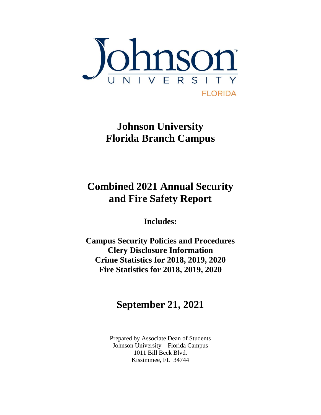

**Johnson University Florida Branch Campus**

# **Combined 2021 Annual Security and Fire Safety Report**

**Includes:**

**Campus Security Policies and Procedures Clery Disclosure Information Crime Statistics for 2018, 2019, 2020 Fire Statistics for 2018, 2019, 2020**

# **September 21, 2021**

Prepared by Associate Dean of Students Johnson University – Florida Campus 1011 Bill Beck Blvd. Kissimmee, FL 34744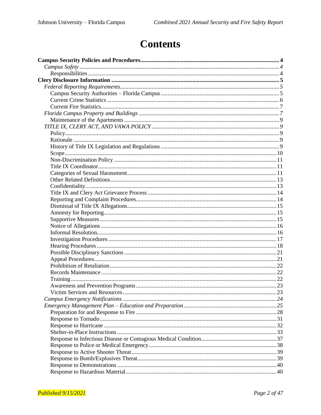# **Contents**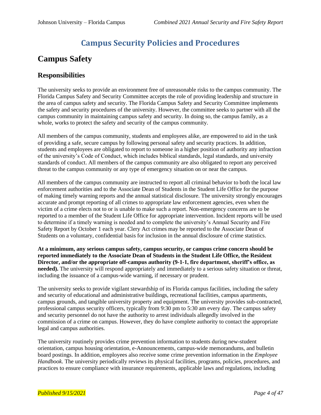## **Campus Security Policies and Procedures**

## **Campus Safety**

#### **Responsibilities**

The university seeks to provide an environment free of unreasonable risks to the campus community. The Florida Campus Safety and Security Committee accepts the role of providing leadership and structure in the area of campus safety and security. The Florida Campus Safety and Security Committee implements the safety and security procedures of the university. However, the committee seeks to partner with all the campus community in maintaining campus safety and security. In doing so, the campus family, as a whole, works to protect the safety and security of the campus community.

All members of the campus community, students and employees alike, are empowered to aid in the task of providing a safe, secure campus by following personal safety and security practices. In addition, students and employees are obligated to report to someone in a higher position of authority any infraction of the university's Code of Conduct, which includes biblical standards, legal standards, and university standards of conduct. All members of the campus community are also obligated to report any perceived threat to the campus community or any type of emergency situation on or near the campus.

All members of the campus community are instructed to report all criminal behavior to both the local law enforcement authorities and to the Associate Dean of Students in the Student Life Office for the purpose of making timely warning reports and the annual statistical disclosure. The university strongly encourages accurate and prompt reporting of all crimes to appropriate law enforcement agencies, even when the victim of a crime elects not to or is unable to make such a report. Non-emergency concerns are to be reported to a member of the Student Life Office for appropriate intervention. Incident reports will be used to determine if a timely warning is needed and to complete the university's Annual Security and Fire Safety Report by October 1 each year. Clery Act crimes may be reported to the Associate Dean of Students on a voluntary, confidential basis for inclusion in the annual disclosure of crime statistics.

**At a minimum, any serious campus safety, campus security, or campus crime concern should be reported immediately to the Associate Dean of Students in the Student Life Office, the Resident Director, and/or the appropriate off-campus authority (9-1-1, fire department, sheriff's office, as needed).** The university will respond appropriately and immediately to a serious safety situation or threat, including the issuance of a campus-wide warning, if necessary or prudent.

The university seeks to provide vigilant stewardship of its Florida campus facilities, including the safety and security of educational and administrative buildings, recreational facilities, campus apartments, campus grounds, and tangible university property and equipment. The university provides sub-contracted, professional campus security officers, typically from 9:30 pm to 5:30 am every day. The campus safety and security personnel do not have the authority to arrest individuals allegedly involved in the commission of a crime on campus. However, they do have complete authority to contact the appropriate legal and campus authorities.

The university routinely provides crime prevention information to students during new-student orientation, campus housing orientation, e-Announcements, campus-wide memorandums, and bulletin board postings. In addition, employees also receive some crime prevention information in the *Employee Handbook*. The university periodically reviews its physical facilities, programs, policies, procedures, and practices to ensure compliance with insurance requirements, applicable laws and regulations, including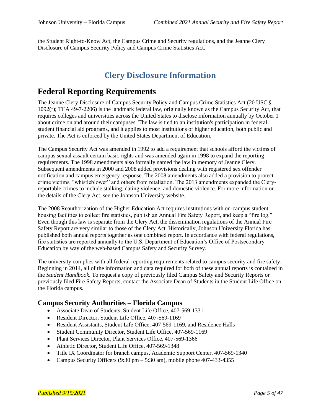the Student Right-to-Know Act, the Campus Crime and Security regulations, and the Jeanne Clery Disclosure of Campus Security Policy and Campus Crime Statistics Act.

### **Clery Disclosure Information**

### **Federal Reporting Requirements**

The Jeanne Clery Disclosure of Campus Security Policy and Campus Crime Statistics Act (20 USC § 1092(f); TCA 49-7-2206) is the landmark federal law, originally known as the Campus Security Act, that requires colleges and universities across the United States to disclose information annually by October 1 about crime on and around their campuses. The law is tied to an institution's participation in federal student financial aid programs, and it applies to most institutions of higher education, both public and private. The Act is enforced by the United States Department of Education.

The Campus Security Act was amended in 1992 to add a requirement that schools afford the victims of campus sexual assault certain basic rights and was amended again in 1998 to expand the reporting requirements. The 1998 amendments also formally named the law in memory of Jeanne Clery. Subsequent amendments in 2000 and 2008 added provisions dealing with registered sex offender notification and campus emergency response. The 2008 amendments also added a provision to protect crime victims, "whistleblower" and others from retaliation. The 2013 amendments expanded the Cleryreportable crimes to include stalking, dating violence, and domestic violence. For more information on the details of the Clery Act, see the Johnson University website.

The 2008 Reauthorization of the Higher Education Act requires institutions with on-campus student housing facilities to collect fire statistics, publish an Annual Fire Safety Report, and keep a "fire log." Even though this law is separate from the Clery Act, the dissemination regulations of the Annual Fire Safety Report are very similar to those of the Clery Act. Historically, Johnson University Florida has published both annual reports together as one combined report. In accordance with federal regulations, fire statistics are reported annually to the U.S. Department of Education's Office of Postsecondary Education by way of the web-based Campus Safety and Security Survey.

The university complies with all federal reporting requirements related to campus security and fire safety. Beginning in 2014, all of the information and data required for both of these annual reports is contained in the *Student Handbook*. To request a copy of previously filed Campus Safety and Security Reports or previously filed Fire Safety Reports, contact the Associate Dean of Students in the Student Life Office on the Florida campus.

#### **Campus Security Authorities – Florida Campus**

- Associate Dean of Students, Student Life Office, 407-569-1331
- Resident Director, Student Life Office, 407-569-1169
- Resident Assistants, Student Life Office, 407-569-1169, and Residence Halls
- Student Community Director, Student Life Office, 407-569-1169
- Plant Services Director, Plant Services Office, 407-569-1366
- Athletic Director, Student Life Office, 407-569-1348
- Title IX Coordinator for branch campus, Academic Support Center, 407-569-1340
- Campus Security Officers (9:30 pm  $-$  5:30 am), mobile phone 407-433-4355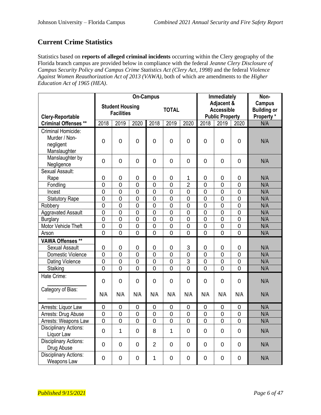### **Current Crime Statistics**

Statistics based on **reports of alleged criminal incidents** occurring within the Clery geography of the Florida branch campus are provided below in compliance with the federal *Jeanne Clery Disclosure of Campus Security Policy and Campus Crime Statistics Act (Clery Act, 1998)* and the federal *Violence Against Women Reauthorization Act of 2013 (VAWA)*, both of which are amendments to the *Higher Education Act of 1965 (HEA)*.

|                              | <b>On-Campus</b>  |                        |                |                        |                | Immediately    |                                 |                | Non-           |                                     |
|------------------------------|-------------------|------------------------|----------------|------------------------|----------------|----------------|---------------------------------|----------------|----------------|-------------------------------------|
|                              |                   | <b>Student Housing</b> |                |                        | <b>TOTAL</b>   |                | Adjacent &<br><b>Accessible</b> |                |                | <b>Campus</b><br><b>Building or</b> |
| <b>Clery-Reportable</b>      | <b>Facilities</b> |                        |                | <b>Public Property</b> |                |                | Property *                      |                |                |                                     |
| <b>Criminal Offenses **</b>  | 2018              | 2019                   | 2020           | 2018                   | 2019           | 2020           | 2018                            | 2019           | 2020           | N/A                                 |
| Criminal Homicide:           |                   |                        |                |                        |                |                |                                 |                |                |                                     |
| Murder / Non-                | $\overline{0}$    | $\mathbf 0$            | $\overline{0}$ | 0                      | $\overline{0}$ | 0              | 0                               | $\overline{0}$ | $\overline{0}$ | N/A                                 |
| negligent                    |                   |                        |                |                        |                |                |                                 |                |                |                                     |
| Manslaughter                 |                   |                        |                |                        |                |                |                                 |                |                |                                     |
| Manslaughter by              | 0                 | $\mathbf 0$            | $\mathbf 0$    | $\mathbf 0$            | $\overline{0}$ | 0              | $\mathbf 0$                     | $\mathbf 0$    | $\overline{0}$ | N/A                                 |
| Negligence                   |                   |                        |                |                        |                |                |                                 |                |                |                                     |
| Sexual Assault:              |                   |                        |                |                        |                |                |                                 |                |                |                                     |
| Rape                         | 0                 | 0                      | 0              | $\mathbf 0$            | $\mathbf 0$    | 1              | 0                               | 0              | 0              | N/A                                 |
| Fondling                     | $\mathbf 0$       | $\overline{0}$         | $\overline{0}$ | $\overline{0}$         | $\overline{0}$ | $\overline{2}$ | $\overline{0}$                  | $\mathbf 0$    | $\mathbf 0$    | N/A                                 |
| Incest                       | $\overline{0}$    | $\overline{0}$         | $\overline{0}$ | $\overline{0}$         | $\overline{0}$ | $\mathbf 0$    | $\overline{0}$                  | $\overline{0}$ | $\overline{0}$ | N/A                                 |
| <b>Statutory Rape</b>        | $\overline{0}$    | $\overline{0}$         | $\overline{0}$ | $\overline{0}$         | $\overline{0}$ | $\overline{0}$ | $\overline{0}$                  | $\overline{0}$ | $\overline{0}$ | N/A                                 |
| Robbery                      | $\overline{0}$    | $\overline{0}$         | $\overline{0}$ | $\overline{0}$         | $\overline{0}$ | $\overline{0}$ | $\overline{0}$                  | $\overline{0}$ | $\overline{0}$ | N/A                                 |
| <b>Aggravated Assault</b>    | $\overline{0}$    | $\overline{0}$         | $\overline{0}$ | $\overline{0}$         | $\overline{0}$ | $\overline{0}$ | $\overline{0}$                  | $\overline{0}$ | $\overline{0}$ | N/A                                 |
| <b>Burglary</b>              | $\overline{0}$    | $\overline{0}$         | $\overline{0}$ | $\overline{0}$         | $\overline{0}$ | $\overline{0}$ | $\overline{0}$                  | $\overline{0}$ | $\overline{0}$ | N/A                                 |
| Motor Vehicle Theft          | $\overline{0}$    | $\overline{0}$         | $\overline{0}$ | $\overline{0}$         | $\overline{0}$ | $\overline{0}$ | $\overline{0}$                  | $\overline{0}$ | $\overline{0}$ | N/A                                 |
| Arson                        | $\overline{0}$    | $\overline{0}$         | $\overline{0}$ | $\overline{0}$         | $\overline{0}$ | $\overline{0}$ | $\overline{0}$                  | $\overline{0}$ | $\overline{0}$ | N/A                                 |
| <b>VAWA Offenses **</b>      |                   |                        |                |                        |                |                |                                 |                |                |                                     |
| <b>Sexual Assault</b>        | 0                 | 0                      | $\mathbf 0$    | $\mathbf 0$            | $\mathbf 0$    | 3              | $\mathbf 0$                     | 0              | $\mathbf 0$    | N/A                                 |
| <b>Domestic Violence</b>     | $\overline{0}$    | $\overline{0}$         | $\mathbf 0$    | $\overline{0}$         | $\overline{0}$ | $\mathbf 0$    | $\overline{0}$                  | $\overline{0}$ | $\mathbf 0$    | N/A                                 |
| Dating Violence              | $\mathbf 0$       | $\mathbf 0$            | 0              | $\mathbf 0$            | $\mathbf 0$    | 3              | 0                               | 0              | $\mathbf 0$    | N/A                                 |
| Stalking                     | $\overline{0}$    | $\overline{0}$         | $\overline{0}$ | $\overline{0}$         | $\overline{0}$ | $\overline{0}$ | $\overline{0}$                  | $\overline{0}$ | $\overline{0}$ | N/A                                 |
| Hate Crime:                  |                   |                        |                |                        |                |                |                                 |                |                |                                     |
|                              | $\overline{0}$    | $\overline{0}$         | $\overline{0}$ | 0                      | $\overline{0}$ | $\overline{0}$ | $\overline{0}$                  | $\overline{0}$ | $\overline{0}$ | N/A                                 |
| Category of Bias:            |                   |                        |                |                        |                |                |                                 |                |                |                                     |
|                              | N/A               | N/A                    | N/A            | N/A                    | N/A            | N/A            | N/A                             | N/A            | N/A            | N/A                                 |
| Arrests: Liquor Law          | 0                 | 0                      | $\overline{0}$ | $\mathbf 0$            | $\mathbf 0$    | 0              | 0                               | 0              | $\mathbf 0$    | N/A                                 |
| Arrests: Drug Abuse          | $\overline{0}$    | $\overline{0}$         | $\overline{0}$ | $\overline{0}$         | $\overline{0}$ | $\overline{0}$ | $\overline{0}$                  | $\overline{0}$ | $\overline{0}$ | N/A                                 |
| Arrests: Weapons Law         | $\overline{0}$    | $\overline{0}$         | $\overline{0}$ | $\overline{0}$         | $\overline{0}$ | $\overline{0}$ | $\overline{0}$                  | $\overline{0}$ | $\overline{0}$ | N/A                                 |
| <b>Disciplinary Actions:</b> |                   |                        |                |                        |                |                |                                 |                |                |                                     |
| Liquor Law                   | 0                 | $\mathbf{1}$           | $\mathbf 0$    | 8                      | $\mathbf{1}$   | 0              | $\overline{0}$                  | $\mathbf 0$    | $\Omega$       | N/A                                 |
| <b>Disciplinary Actions:</b> | $\overline{0}$    | $\mathbf 0$            | 0              | $\overline{2}$         | $\mathbf 0$    | 0              | $\mathbf 0$                     | $\overline{0}$ | $\overline{0}$ | N/A                                 |
| Drug Abuse                   |                   |                        |                |                        |                |                |                                 |                |                |                                     |
| <b>Disciplinary Actions:</b> | 0                 | 0                      | 0              | 1                      | $\overline{0}$ | 0              | $\overline{0}$                  | $\mathbf 0$    | $\mathbf 0$    | N/A                                 |
| Weapons Law                  |                   |                        |                |                        |                |                |                                 |                |                |                                     |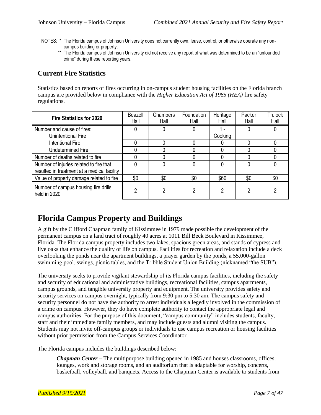- NOTES: \* The Florida campus of Johnson University does not currently own, lease, control, or otherwise operate any noncampus building or property.
	- \*\* The Florida campus of Johnson University did not receive any report of what was determined to be an "unfounded crime" during these reporting years.

### **Current Fire Statistics**

Statistics based on reports of fires occurring in on-campus student housing facilities on the Florida branch campus are provided below in compliance with the *Higher Education Act of 1965 (HEA)* fire safety regulations.

| <b>Fire Statistics for 2020</b>                                                        | Beazell<br>Hall | Chambers<br>Hall | Foundation<br>Hall | Heritage<br>Hall | Packer<br>Hall | Trulock<br>Hall |
|----------------------------------------------------------------------------------------|-----------------|------------------|--------------------|------------------|----------------|-----------------|
| Number and cause of fires:<br>Unintentional Fire                                       | 0               | 0                |                    | Cooking          |                |                 |
| <b>Intentional Fire</b>                                                                |                 |                  |                    |                  |                |                 |
| <b>Undetermined Fire</b>                                                               |                 |                  |                    |                  |                |                 |
| Number of deaths related to fire                                                       |                 | O                |                    |                  |                |                 |
| Number of injuries related to fire that<br>resulted in treatment at a medical facility |                 | 0                |                    |                  |                |                 |
| Value of property damage related to fire                                               | \$0             | \$0              | \$0                | \$60             | \$0            | \$0             |
| Number of campus housing fire drills<br>held in 2020                                   | 2               | 2                | റ                  | 2                | າ              |                 |

### **Florida Campus Property and Buildings**

A gift by the Clifford Chapman family of Kissimmee in 1979 made possible the development of the permanent campus on a land tract of roughly 40 acres at 1011 Bill Beck Boulevard in Kissimmee, Florida. The Florida campus property includes two lakes, spacious green areas, and stands of cypress and live oaks that enhance the quality of life on campus. Facilities for recreation and relaxation include a deck overlooking the ponds near the apartment buildings, a prayer garden by the ponds, a 55,000-gallon swimming pool, swings, picnic tables, and the Tribble Student Union Building (nicknamed "the SUB").

The university seeks to provide vigilant stewardship of its Florida campus facilities, including the safety and security of educational and administrative buildings, recreational facilities, campus apartments, campus grounds, and tangible university property and equipment. The university provides safety and security services on campus overnight, typically from 9:30 pm to 5:30 am. The campus safety and security personnel do not have the authority to arrest individuals allegedly involved in the commission of a crime on campus. However, they do have complete authority to contact the appropriate legal and campus authorities. For the purpose of this document, "campus community" includes students, faculty, staff and their immediate family members, and may include guests and alumni visiting the campus. Students may not invite off-campus groups or individuals to use campus recreation or housing facilities without prior permission from the Campus Services Coordinator.

The Florida campus includes the buildings described below:

*Chapman Center –* The multipurpose building opened in 1985 and houses classrooms, offices, lounges, work and storage rooms, and an auditorium that is adaptable for worship, concerts, basketball, volleyball, and banquets. Access to the Chapman Center is available to students from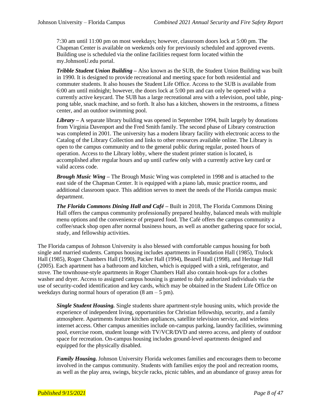7:30 am until 11:00 pm on most weekdays; however, classroom doors lock at 5:00 pm. The Chapman Center is available on weekends only for previously scheduled and approved events. Building use is scheduled via the online facilities request form located within the my.JohnsonU.edu portal.

*Tribble Student Union Building –* Also known as the SUB, the Student Union Building was built in 1990. It is designed to provide recreational and meeting space for both residential and commuter students. It also houses the Student Life Office. Access to the SUB is available from 6:00 am until midnight; however, the doors lock at 5:00 pm and can only be opened with a currently active keycard. The SUB has a large recreational area with a television, pool table, pingpong table, snack machine, and so forth. It also has a kitchen, showers in the restrooms, a fitness center, and an outdoor swimming pool.

*Library –* A separate library building was opened in September 1994, built largely by donations from Virginia Davenport and the Fred Smith family. The second phase of Library construction was completed in 2001. The university has a modern library facility with electronic access to the Catalog of the Library Collection and links to other resources available online. The Library is open to the campus community and to the general public during regular, posted hours of operation. Access to the Library lobby, where the student printer station is located, is accomplished after regular hours and up until curfew only with a currently active key card or valid access code.

*Brough Music Wing –* The Brough Music Wing was completed in 1998 and is attached to the east side of the Chapman Center. It is equipped with a piano lab, music practice rooms, and additional classroom space. This addition serves to meet the needs of the Florida campus music department.

*The Florida Commons Dining Hall and Café –* Built in 2018, The Florida Commons Dining Hall offers the campus community professionally prepared healthy, balanced meals with multiple menu options and the convenience of prepared food. The Café offers the campus community a coffee/snack shop open after normal business hours, as well as another gathering space for social, study, and fellowship activities.

The Florida campus of Johnson University is also blessed with comfortable campus housing for both single and married students. Campus housing includes apartments in Foundation Hall (1985), Trulock Hall (1985), Roger Chambers Hall (1990), Packer Hall (1994), Beazell Hall (1998), and Heritage Hall (2005). Each apartment has a bathroom and kitchen, which is equipped with a sink, refrigerator, and stove. The townhouse-style apartments in Roger Chambers Hall also contain hook-ups for a clothes washer and dryer. Access to assigned campus housing is granted to duly authorized individuals via the use of security-coded identification and key cards, which may be obtained in the Student Life Office on weekdays during normal hours of operation  $(8 \text{ am} - 5 \text{ pm})$ .

*Single Student Housing.* Single students share apartment-style housing units, which provide the experience of independent living, opportunities for Christian fellowship, security, and a family atmosphere. Apartments feature kitchen appliances, satellite television service, and wireless internet access. Other campus amenities include on-campus parking, laundry facilities, swimming pool, exercise room, student lounge with TV/VCR/DVD and stereo access, and plenty of outdoor space for recreation. On-campus housing includes ground-level apartments designed and equipped for the physically disabled.

*Family Housing.* Johnson University Florida welcomes families and encourages them to become involved in the campus community. Students with families enjoy the pool and recreation rooms, as well as the play area, swings, bicycle racks, picnic tables, and an abundance of grassy areas for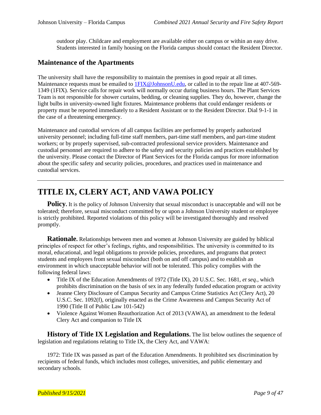outdoor play. Childcare and employment are available either on campus or within an easy drive. Students interested in family housing on the Florida campus should contact the Resident Director.

#### **Maintenance of the Apartments**

The university shall have the responsibility to maintain the premises in good repair at all times. Maintenance requests must be emailed to **1FIX@JohnsonU.edu**, or called in to the repair line at 407-569-1349 (1FIX). Service calls for repair work will normally occur during business hours. The Plant Services Team is not responsible for shower curtains, bedding, or cleaning supplies. They do, however, change the light bulbs in university-owned light fixtures. Maintenance problems that could endanger residents or property must be reported immediately to a Resident Assistant or to the Resident Director. Dial 9-1-1 in the case of a threatening emergency.

Maintenance and custodial services of all campus facilities are performed by properly authorized university personnel; including full-time staff members, part-time staff members, and part-time student workers; or by properly supervised, sub-contracted professional service providers. Maintenance and custodial personnel are required to adhere to the safety and security policies and practices established by the university. Please contact the Director of Plant Services for the Florida campus for more information about the specific safety and security policies, procedures, and practices used in maintenance and custodial services.

### **TITLE IX, CLERY ACT, AND VAWA POLICY**

**Policy.** It is the policy of Johnson University that sexual misconduct is unacceptable and will not be tolerated; therefore, sexual misconduct committed by or upon a Johnson University student or employee is strictly prohibited. Reported violations of this policy will be investigated thoroughly and resolved promptly.

**Rationale.** Relationships between men and women at Johnson University are guided by biblical principles of respect for other's feelings, rights, and responsibilities. The university is committed to its moral, educational, and legal obligations to provide policies, procedures, and programs that protect students and employees from sexual misconduct (both on and off campus) and to establish an environment in which unacceptable behavior will not be tolerated. This policy complies with the following federal laws:

- Title IX of the Education Amendments of 1972 (Title IX), 20 U.S.C. Sec. 1681, *et seq.*, which prohibits discrimination on the basis of sex in any federally funded education program or activity
- Jeanne Clery Disclosure of Campus Security and Campus Crime Statistics Act (Clery Act), 20 U.S.C. Sec. 1092(f), originally enacted as the Crime Awareness and Campus Security Act of 1990 (Title II of Public Law 101-542)
- Violence Against Women Reauthorization Act of 2013 (VAWA), an amendment to the federal Clery Act and companion to Title IX

**History of Title IX Legislation and Regulations.** The list below outlines the sequence of legislation and regulations relating to Title IX, the Clery Act, and VAWA:

1972: Title IX was passed as part of the Education Amendments. It prohibited sex discrimination by recipients of federal funds, which includes most colleges, universities, and public elementary and secondary schools.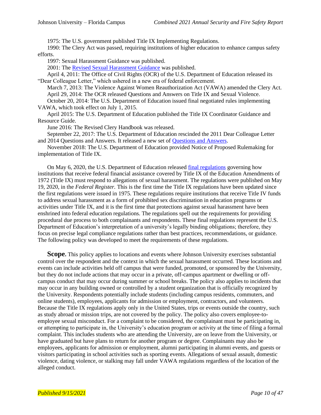1975: The U.S. government published Title IX Implementing Regulations.

1990: The Clery Act was passed, requiring institutions of higher education to enhance campus safety efforts.

1997: Sexual Harassment Guidance was published.

2001: Th[e Revised Sexual Harassment Guidance](https://www2.ed.gov/about/offices/list/ocr/docs/sexhar00.html) was published.

April 4, 2011: The Office of Civil Rights (OCR) of the U.S. Department of Education released its "Dear Colleague Letter," which ushered in a new era of federal enforcement.

March 7, 2013: The Violence Against Women Reauthorization Act (VAWA) amended the Clery Act. April 29, 2014: The OCR released Questions and Answers on Title IX and Sexual Violence. October 20, 2014: The U.S. Department of Education issued final negotiated rules implementing VAWA, which took effect on July 1, 2015.

April 2015: The U.S. Department of Education published the Title IX Coordinator Guidance and Resource Guide.

June 2016: The Revised Clery Handbook was released.

September 22, 2017: The U.S. Department of Education rescinded the 2011 Dear Colleague Letter and 2014 Questions and Answers. It released a new set of [Questions and Answers.](https://www2.ed.gov/about/offices/list/ocr/docs/qa-title-ix-201709.pdf)

November 2018: The U.S. Department of Education provided Notice of Proposed Rulemaking for implementation of Title IX.

On May 6, 2020, the U.S. Department of Education released [final regulations](https://www.federalregister.gov/documents/2020/05/19/2020-10512/nondiscrimination-on-the-basis-of-sex-in-education-programs-or-activities-receiving-federal) governing how institutions that receive federal financial assistance covered by Title IX of the Education Amendments of 1972 (Title IX) must respond to allegations of sexual harassment. The regulations were published on May 19, 2020, in the *Federal Register.* This is the first time the Title IX regulations have been updated since the first regulations were issued in 1975. These regulations require institutions that receive Title IV funds to address sexual harassment as a form of prohibited sex discrimination in education programs or activities under Title IX, and it is the first time that protections against sexual harassment have been enshrined into federal education regulations. The regulations spell out the requirements for providing procedural due process to both complainants and respondents. These final regulations represent the U.S. Department of Education's interpretation of a university's legally binding obligations; therefore, they focus on precise legal compliance regulations rather than best practices, recommendations, or guidance. The following policy was developed to meet the requirements of these regulations.

**Scope.** This policy applies to locations and events where Johnson University exercises substantial control over the respondent and the context in which the sexual harassment occurred. These locations and events can include activities held off campus that were funded, promoted, or sponsored by the University, but they do not include actions that may occur in a private, off-campus apartment or dwelling or offcampus conduct that may occur during summer or school breaks. The policy also applies to incidents that may occur in any building owned or controlled by a student organization that is officially recognized by the University. Respondents potentially include students (including campus residents, commuters, and online students), employees, applicants for admission or employment, contractors, and volunteers. Because the Title IX regulations apply only in the United States, trips or events outside the country, such as study abroad or mission trips, are not covered by the policy. The policy also covers employee-toemployee sexual misconduct. For a complaint to be considered, the complainant must be participating in, or attempting to participate in, the University's education program or activity at the time of filing a formal complaint. This includes students who are attending the University, are on leave from the University, or have graduated but have plans to return for another program or degree. Complainants may also be employees, applicants for admission or employment, alumni participating in alumni events, and guests or visitors participating in school activities such as sporting events. Allegations of sexual assault, domestic violence, dating violence, or stalking may fall under VAWA regulations regardless of the location of the alleged conduct.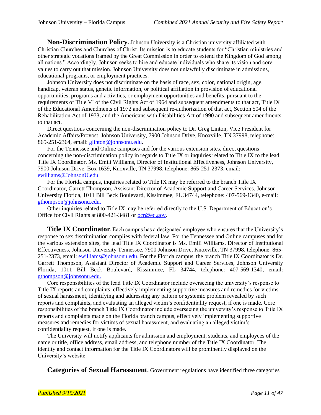**Non-Discrimination Policy.** Johnson University is a Christian university affiliated with Christian Churches and Churches of Christ. Its mission is to educate students for "Christian ministries and other strategic vocations framed by the Great Commission in order to extend the Kingdom of God among all nations." Accordingly, Johnson seeks to hire and educate individuals who share its vision and core values to carry out that mission. Johnson University does not unlawfully discriminate in admissions, educational programs, or employment practices.

Johnson University does not discriminate on the basis of race, sex, color, national origin, age, handicap, veteran status, genetic information, or political affiliation in provision of educational opportunities, programs and activities, or employment opportunities and benefits, pursuant to the requirements of Title VI of the Civil Rights Act of 1964 and subsequent amendments to that act, Title IX of the Educational Amendments of 1972 and subsequent re-authorization of that act, Section 504 of the Rehabilitation Act of 1973, and the Americans with Disabilities Act of 1990 and subsequent amendments to that act.

Direct questions concerning the non-discrimination policy to Dr. Greg Linton, Vice President for Academic Affairs/Provost, Johnson University, 7900 Johnson Drive, Knoxville, TN 37998, telephone: 865-251-2364, email: [glinton@johnsonu.edu.](mailto:mpierce@johnsonu.edu)

For the Tennessee and Online campuses and for the various extension sites, direct questions concerning the non-discrimination policy in regards to Title IX or inquiries related to Title IX to the lead Title IX Coordinator, Ms. Emili Williams, Director of Institutional Effectiveness, Johnson University, 7900 Johnson Drive, Box 1639, Knoxville, TN 37998. telephone: 865-251-2373. email: [ewilliams@JohnsonU.edu.](mailto:ewilliams@JohnsonU.edu)

For the Florida campus, inquiries related to Title IX may be referred to the branch Title IX Coordinator, Garrett Thompson, Assistant Director of Academic Support and Career Services, Johnson University Florida, 1011 Bill Beck Boulevard, Kissimmee, FL 34744, telephone: 407-569-1340, e-mail: [gthompson@johnsonu.edu.](mailto:gthompson@johnsonu.edu)

Other inquiries related to Title IX may be referred directly to the U.S. Department of Education's Office for Civil Rights at 800-421-3481 or [ocr@ed.gov.](mailto:ocr@ed.gov)

**Title IX Coordinator**. Each campus has a designated employee who ensures that the University's response to sex discrimination complies with federal law. For the Tennessee and Online campuses and for the various extension sites, the lead Title IX Coordinator is Ms. Emili Williams, Director of Institutional Effectiveness, Johnson University Tennessee, 7900 Johnson Drive, Knoxville, TN 37998, telephone: 865- 251-2373, email[: ewilliams@johnsonu.edu.](mailto:ewilliams@johnsonu.edu) For the Florida campus, the branch Title IX Coordinator is Dr. Garrett Thompson, Assistant Director of Academic Support and Career Services, Johnson University Florida, 1011 Bill Beck Boulevard, Kissimmee, FL 34744, telephone: 407-569-1340, email: [gthompson@johnsonu.edu.](mailto:gthompson@johnsonu.edu)

Core responsibilities of the lead Title IX Coordinator include overseeing the university's response to Title IX reports and complaints, effectively implementing supportive measures and remedies for victims of sexual harassment, identifying and addressing any pattern or systemic problem revealed by such reports and complaints, and evaluating an alleged victim's confidentiality request, if one is made. Core responsibilities of the branch Title IX Coordinator include overseeing the university's response to Title IX reports and complaints made on the Florida branch campus, effectively implementing supportive measures and remedies for victims of sexual harassment, and evaluating an alleged victim's confidentiality request, if one is made.

The University will notify applicants for admission and employment, students, and employees of the name or title, office address, email address, and telephone number of the Title IX Coordinator. The identity and contact information for the Title IX Coordinators will be prominently displayed on the University's website.

**Categories of Sexual Harassment.** Government regulations have identified three categories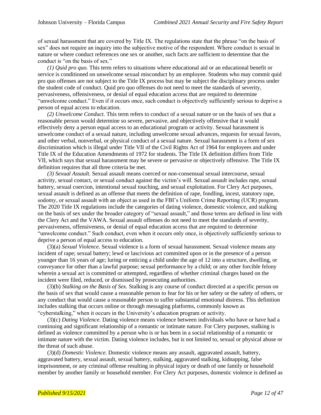of sexual harassment that are covered by Title IX. The regulations state that the phrase "on the basis of sex" does not require an inquiry into the subjective motive of the respondent. Where conduct is sexual in nature or where conduct references one sex or another, such facts are sufficient to determine that the conduct is "on the basis of sex."

*(1) Quid pro quo.* This term refers to situations where educational aid or an educational benefit or service is conditioned on unwelcome sexual misconduct by an employee. Students who may commit quid pro quo offenses are not subject to the Title IX process but may be subject the disciplinary process under the student code of conduct. Quid pro quo offenses do not need to meet the standards of severity, pervasiveness, offensiveness, or denial of equal education access that are required to determine "unwelcome conduct." Even if it occurs once, such conduct is objectively sufficiently serious to deprive a person of equal access to education.

*(2) Unwelcome Conduct.* This term refers to conduct of a sexual nature or on the basis of sex that a reasonable person would determine so severe, pervasive, and objectively offensive that it would effectively deny a person equal access to an educational program or activity. Sexual harassment is unwelcome conduct of a sexual nature, including unwelcome sexual advances, requests for sexual favors, and other verbal, nonverbal, or physical conduct of a sexual nature. Sexual harassment is a form of sex discrimination which is illegal under Title VII of the Civil Rights Act of 1964 for employees and under Title IX of the Education Amendments of 1972 for students. The Title IX definition differs from Title VII, which says that sexual harassment may be severe or pervasive or objectively offensive. The Title IX definition requires that all three criteria be met.

*(3) Sexual Assault.* Sexual assault means coerced or non-consensual sexual intercourse, sexual activity, sexual contact, or sexual conduct against the victim's will. Sexual assault includes rape, sexual battery, sexual coercion, intentional sexual touching, and sexual exploitation. For Clery Act purposes, sexual assault is defined as an offense that meets the definition of rape, fondling, incest, statutory rape, sodomy, or sexual assault with an object as used in the FBI's Uniform Crime Reporting (UCR) program. The 2020 Title IX regulations include the categories of dating violence, domestic violence, and stalking on the basis of sex under the broader category of "sexual assault," and those terms are defined in line with the Clery Act and the VAWA. Sexual assault offenses do not need to meet the standards of severity, pervasiveness, offensiveness, or denial of equal education access that are required to determine "unwelcome conduct." Such conduct, even when it occurs only once, is objectively sufficiently serious to deprive a person of equal access to education.

(3)(a) *Sexual Violence.* Sexual violence is a form of sexual harassment. Sexual violence means any incident of rape; sexual battery; lewd or lascivious act committed upon or in the presence of a person younger than 16 years of age; luring or enticing a child under the age of 12 into a structure, dwelling, or conveyance for other than a lawful purpose; sexual performance by a child; or any other forcible felony wherein a sexual act is committed or attempted, regardless of whether criminal charges based on the incident were filed, reduced, or dismissed by prosecuting authorities.

(3)(b) *Stalking on the Basis of Sex.* Stalking is any course of conduct directed at a specific person on the basis of sex that would cause a reasonable person to fear for his or her safety or the safety of others, or any conduct that would cause a reasonable person to suffer substantial emotional distress. This definition includes stalking that occurs online or through messaging platforms, commonly known as "cyberstalking," when it occurs in the University's education program or activity.

(3)(c) *Dating Violence.* Dating violence means violence between individuals who have or have had a continuing and significant relationship of a romantic or intimate nature. For Clery purposes, stalking is defined as violence committed by a person who is or has been in a social relationship of a romantic or intimate nature with the victim. Dating violence includes, but is not limited to, sexual or physical abuse or the threat of such abuse.

(3)(d) *Domestic Violence.* Domestic violence means any assault, aggravated assault, battery, aggravated battery, sexual assault, sexual battery, stalking, aggravated stalking, kidnapping, false imprisonment, or any criminal offense resulting in physical injury or death of one family or household member by another family or household member. For Clery Act purposes, domestic violence is defined as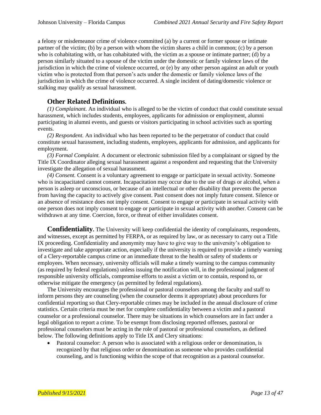a felony or misdemeanor crime of violence committed (a) by a current or former spouse or intimate partner of the victim; (b) by a person with whom the victim shares a child in common; (c) by a person who is cohabitating with, or has cohabitated with, the victim as a spouse or intimate partner; (d) by a person similarly situated to a spouse of the victim under the domestic or family violence laws of the jurisdiction in which the crime of violence occurred, or (e) by any other person against an adult or youth victim who is protected from that person's acts under the domestic or family violence laws of the jurisdiction in which the crime of violence occurred. A single incident of dating/domestic violence or stalking may qualify as sexual harassment.

#### **Other Related Definitions.**

*(1) Complainant.* An individual who is alleged to be the victim of conduct that could constitute sexual harassment, which includes students, employees, applicants for admission or employment, alumni participating in alumni events, and guests or visitors participating in school activities such as sporting events.

*(2) Respondent.* An individual who has been reported to be the perpetrator of conduct that could constitute sexual harassment, including students, employees, applicants for admission, and applicants for employment.

*(3) Formal Complaint.* A document or electronic submission filed by a complainant or signed by the Title IX Coordinator alleging sexual harassment against a respondent and requesting that the University investigate the allegation of sexual harassment.

*(4) Consent.* Consent is a voluntary agreement to engage or participate in sexual activity. Someone who is incapacitated cannot consent. Incapacitation may occur due to the use of drugs or alcohol, when a person is asleep or unconscious, or because of an intellectual or other disability that prevents the person from having the capacity to actively give consent. Past consent does not imply future consent. Silence or an absence of resistance does not imply consent. Consent to engage or participate in sexual activity with one person does not imply consent to engage or participate in sexual activity with another. Consent can be withdrawn at any time. Coercion, force, or threat of either invalidates consent.

**Confidentiality.** The University will keep confidential the identity of complainants, respondents, and witnesses, except as permitted by FERPA, or as required by law, or as necessary to carry out a Title IX proceeding. Confidentiality and anonymity may have to give way to the university's obligation to investigate and take appropriate action, especially if the university is required to provide a timely warning of a Clery-reportable campus crime or an immediate threat to the health or safety of students or employees. When necessary, university officials will make a timely warning to the campus community (as required by federal regulations) unless issuing the notification will, in the professional judgment of responsible university officials, compromise efforts to assist a victim or to contain, respond to, or otherwise mitigate the emergency (as permitted by federal regulations).

The University encourages the professional or pastoral counselors among the faculty and staff to inform persons they are counseling (when the counselor deems it appropriate) about procedures for confidential reporting so that Clery-reportable crimes may be included in the annual disclosure of crime statistics. Certain criteria must be met for complete confidentiality between a victim and a pastoral counselor or a professional counselor. There may be situations in which counselors are in fact under a legal obligation to report a crime. To be exempt from disclosing reported offenses, pastoral or professional counselors must be acting in the role of pastoral or professional counselors, as defined below. The following definitions apply to Title IX and Clery situations:

• Pastoral counselor: A person who is associated with a religious order or denomination, is recognized by that religious order or denomination as someone who provides confidential counseling, and is functioning within the scope of that recognition as a pastoral counselor.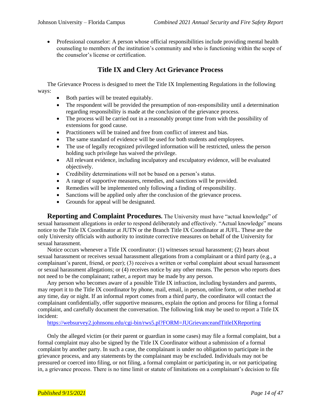• Professional counselor: A person whose official responsibilities include providing mental health counseling to members of the institution's community and who is functioning within the scope of the counselor's license or certification.

### **Title IX and Clery Act Grievance Process**

The Grievance Process is designed to meet the Title IX Implementing Regulations in the following ways:

- Both parties will be treated equitably.
- The respondent will be provided the presumption of non-responsibility until a determination regarding responsibility is made at the conclusion of the grievance process.
- The process will be carried out in a reasonably prompt time from with the possibility of extensions for good cause.
- Practitioners will be trained and free from conflict of interest and bias.
- The same standard of evidence will be used for both students and employees.
- The use of legally recognized privileged information will be restricted, unless the person holding such privilege has waived the privilege.
- All relevant evidence, including inculpatory and exculpatory evidence, will be evaluated objectively.
- Credibility determinations will not be based on a person's status.
- A range of supportive measures, remedies, and sanctions will be provided.
- Remedies will be implemented only following a finding of responsibility.
- Sanctions will be applied only after the conclusion of the grievance process.
- Grounds for appeal will be designated.

**Reporting and Complaint Procedures.** The University must have "actual knowledge" of sexual harassment allegations in order to respond deliberately and effectively. "Actual knowledge" means notice to the Title IX Coordinator at JUTN or the Branch Title IX Coordinator at JUFL. These are the only University officials with authority to institute corrective measures on behalf of the University for sexual harassment.

Notice occurs whenever a Title IX coordinator: (1) witnesses sexual harassment; (2) hears about sexual harassment or receives sexual harassment allegations from a complainant or a third party (e.g., a complainant's parent, friend, or peer); (3) receives a written or verbal complaint about sexual harassment or sexual harassment allegations; or (4) receives notice by any other means. The person who reports does not need to be the complainant; rather, a report may be made by any person.

Any person who becomes aware of a possible Title IX infraction, including bystanders and parents, may report it to the Title IX coordinator by phone, mail, email, in person, online form, or other method at any time, day or night. If an informal report comes from a third party, the coordinator will contact the complainant confidentially, offer supportive measures, explain the option and process for filing a formal complaint, and carefully document the conversation. The following link may be used to report a Title IX incident:

<https://websurvey2.johnsonu.edu/cgi-bin/rws5.pl?FORM=JUGrievanceandTitleIXReporting>

Only the alleged victim (or their parent or guardian in some cases) may file a formal complaint, but a formal complaint may also be signed by the Title IX Coordinator without a submission of a formal complaint by another party. In such a case, the complainant is under no obligation to participate in the grievance process, and any statements by the complainant may be excluded. Individuals may not be pressured or coerced into filing, or not filing, a formal complaint or participating in, or not participating in, a grievance process. There is no time limit or statute of limitations on a complainant's decision to file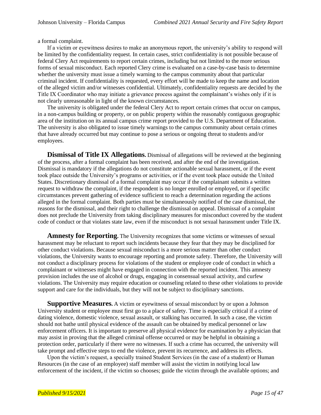a formal complaint.

If a victim or eyewitness desires to make an anonymous report, the university's ability to respond will be limited by the confidentiality request. In certain cases, strict confidentiality is not possible because of federal Clery Act requirements to report certain crimes, including but not limited to the more serious forms of sexual misconduct. Each reported Clery crime is evaluated on a case-by-case basis to determine whether the university must issue a timely warning to the campus community about that particular criminal incident. If confidentiality is requested, every effort will be made to keep the name and location of the alleged victim and/or witnesses confidential. Ultimately, confidentiality requests are decided by the Title IX Coordinator who may initiate a grievance process against the complainant's wishes only if it is not clearly unreasonable in light of the known circumstances.

The university is obligated under the federal Clery Act to report certain crimes that occur on campus, in a non-campus building or property, or on public property within the reasonably contiguous geographic area of the institution on its annual campus crime report provided to the U.S. Department of Education. The university is also obligated to issue timely warnings to the campus community about certain crimes that have already occurred but may continue to pose a serious or ongoing threat to students and/or employees.

**Dismissal of Title IX Allegations.** Dismissal of allegations will be reviewed at the beginning of the process, after a formal complaint has been received, and after the end of the investigation. Dismissal is mandatory if the allegations do not constitute actionable sexual harassment, or if the event took place outside the University's programs or activities, or if the event took place outside the United States. Discretionary dismissal of a formal complaint may occur if the complainant submits a written request to withdraw the complaint, if the respondent is no longer enrolled or employed, or if specific circumstances prevent gathering of evidence sufficient to reach a determination regarding the actions alleged in the formal complaint. Both parties must be simultaneously notified of the case dismissal, the reasons for the dismissal, and their right to challenge the dismissal on appeal. Dismissal of a complaint does not preclude the University from taking disciplinary measures for misconduct covered by the student code of conduct or that violates state law, even if the misconduct is not sexual harassment under Title IX.

**Amnesty for Reporting.** The University recognizes that some victims or witnesses of sexual harassment may be reluctant to report such incidents because they fear that they may be disciplined for other conduct violations. Because sexual misconduct is a more serious matter than other conduct violations, the University wants to encourage reporting and promote safety. Therefore, the University will not conduct a disciplinary process for violations of the student or employee code of conduct in which a complainant or witnesses might have engaged in connection with the reported incident. This amnesty provision includes the use of alcohol or drugs, engaging in consensual sexual activity, and curfew violations. The University may require education or counseling related to these other violations to provide support and care for the individuals, but they will not be subject to disciplinary sanctions.

**Supportive Measures.** A victim or eyewitness of sexual misconduct by or upon a Johnson University student or employee must first go to a place of safety. Time is especially critical if a crime of dating violence, domestic violence, sexual assault, or stalking has occurred. In such a case, the victim should not bathe until physical evidence of the assault can be obtained by medical personnel or law enforcement officers. It is important to preserve all physical evidence for examination by a physician that may assist in proving that the alleged criminal offense occurred or may be helpful in obtaining a protection order, particularly if there were no witnesses. If such a crime has occurred, the university will take prompt and effective steps to end the violence, prevent its recurrence, and address its effects.

Upon the victim's request, a specially trained Student Services (in the case of a student) or Human Resources (in the case of an employee) staff member will assist the victim in notifying local law enforcement of the incident, if the victim so chooses; guide the victim through the available options; and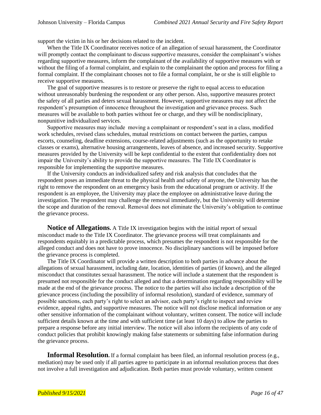support the victim in his or her decisions related to the incident.

When the Title IX Coordinator receives notice of an allegation of sexual harassment, the Coordinator will promptly contact the complainant to discuss supportive measures, consider the complainant's wishes regarding supportive measures, inform the complainant of the availability of supportive measures with or without the filing of a formal complaint, and explain to the complainant the option and process for filing a formal complaint. If the complainant chooses not to file a formal complaint, he or she is still eligible to receive supportive measures.

The goal of supportive measures is to restore or preserve the right to equal access to education without unreasonably burdening the respondent or any other person. Also, supportive measures protect the safety of all parties and deters sexual harassment. However, supportive measures may not affect the respondent's presumption of innocence throughout the investigation and grievance process. Such measures will be available to both parties without fee or charge, and they will be nondisciplinary, nonpunitive individualized services.

Supportive measures may include moving a complainant or respondent's seat in a class, modified work schedules, revised class schedules, mutual restrictions on contact between the parties, campus escorts, counseling, deadline extensions, course-related adjustments (such as the opportunity to retake classes or exams), alternative housing arrangements, leaves of absence, and increased security. Supportive measures provided by the University will be kept confidential to the extent that confidentiality does not impair the University's ability to provide the supportive measures. The Title IX Coordinator is responsible for implementing the supportive measures.

If the University conducts an individualized safety and risk analysis that concludes that the respondent poses an immediate threat to the physical health and safety of anyone, the University has the right to remove the respondent on an emergency basis from the educational program or activity. If the respondent is an employee, the University may place the employee on administrative leave during the investigation. The respondent may challenge the removal immediately, but the University will determine the scope and duration of the removal. Removal does not eliminate the University's obligation to continue the grievance process.

**Notice of Allegations.** A Title IX investigation begins with the initial report of sexual misconduct made to the Title IX Coordinator. The grievance process will treat complainants and respondents equitably in a predictable process, which presumes the respondent is not responsible for the alleged conduct and does not have to prove innocence. No disciplinary sanctions will be imposed before the grievance process is completed.

The Title IX Coordinator will provide a written description to both parties in advance about the allegations of sexual harassment, including date, location, identities of parties (if known), and the alleged misconduct that constitutes sexual harassment. The notice will include a statement that the respondent is presumed not responsible for the conduct alleged and that a determination regarding responsibility will be made at the end of the grievance process. The notice to the parties will also include a description of the grievance process (including the possibility of informal resolution), standard of evidence, summary of possible sanctions, each party's right to select an advisor, each party's right to inspect and review evidence, appeal rights, and supportive measures. The notice will not disclose medical information or any other sensitive information of the complainant without voluntary, written consent. The notice will include sufficient details known at the time and with sufficient time (at least 10 days) to allow the parties to prepare a response before any initial interview. The notice will also inform the recipients of any code of conduct policies that prohibit knowingly making false statements or submitting false information during the grievance process.

**Informal Resolution.** If a formal complaint has been filed, an informal resolution process (e.g., mediation) may be used only if all parties agree to participate in an informal resolution process that does not involve a full investigation and adjudication. Both parties must provide voluntary, written consent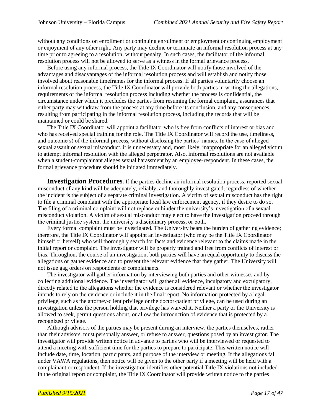without any conditions on enrollment or continuing enrollment or employment or continuing employment or enjoyment of any other right. Any party may decline or terminate an informal resolution process at any time prior to agreeing to a resolution, without penalty. In such cases, the facilitator of the informal resolution process will not be allowed to serve as a witness in the formal grievance process.

Before using any informal process, the Title IX Coordinator will notify those involved of the advantages and disadvantages of the informal resolution process and will establish and notify those involved about reasonable timeframes for the informal process. If all parties voluntarily choose an informal resolution process, the Title IX Coordinator will provide both parties in writing the allegations, requirements of the informal resolution process including whether the process is confidential, the circumstance under which it precludes the parties from resuming the formal complaint, assurances that either party may withdraw from the process at any time before its conclusion, and any consequences resulting from participating in the informal resolution process, including the records that will be maintained or could be shared.

The Title IX Coordinator will appoint a facilitator who is free from conflicts of interest or bias and who has received special training for the role. The Title IX Coordinator will record the use, timeliness, and outcome(s) of the informal process, without disclosing the parties' names. In the case of alleged sexual assault or sexual misconduct, it is unnecessary and, most likely, inappropriate for an alleged victim to attempt informal resolution with the alleged perpetrator. Also, informal resolutions are not available when a student-complainant alleges sexual harassment by an employee-respondent. In these cases, the formal grievance procedure should be initiated immediately.

**Investigation Procedures.** If the parties decline an informal resolution process, reported sexual misconduct of any kind will be adequately, reliably, and thoroughly investigated, regardless of whether the incident is the subject of a separate criminal investigation. A victim of sexual misconduct has the right to file a criminal complaint with the appropriate local law enforcement agency, if they desire to do so. The filing of a criminal complaint will not replace or hinder the university's investigation of a sexual misconduct violation. A victim of sexual misconduct may elect to have the investigation proceed through the criminal justice system, the university's disciplinary process, or both.

Every formal complaint must be investigated. The University bears the burden of gathering evidence; therefore, the Title IX Coordinator will appoint an investigator (who may be the Title IX Coordinator himself or herself) who will thoroughly search for facts and evidence relevant to the claims made in the initial report or complaint. The investigator will be properly trained and free from conflicts of interest or bias. Throughout the course of an investigation, both parties will have an equal opportunity to discuss the allegations or gather evidence and to present the relevant evidence that they gather. The University will not issue gag orders on respondents or complainants.

The investigator will gather information by interviewing both parties and other witnesses and by collecting additional evidence. The investigator will gather all evidence, inculpatory and exculpatory, directly related to the allegations whether the evidence is considered relevant or whether the investigator intends to rely on the evidence or include it in the final report. No information protected by a legal privilege, such as the attorney-client privilege or the doctor-patient privilege, can be used during an investigation unless the person holding that privilege has waived it. Neither a party or the University is allowed to seek, permit questions about, or allow the introduction of evidence that is protected by a recognized privilege.

Although advisors of the parties may be present during an interview, the parties themselves, rather than their advisors, must personally answer, or refuse to answer, questions posed by an investigator. The investigator will provide written notice in advance to parties who will be interviewed or requested to attend a meeting with sufficient time for the parties to prepare to participate. This written notice will include date, time, location, participants, and purpose of the interview or meeting. If the allegations fall under VAWA regulations, then notice will be given to the other party if a meeting will be held with a complainant or respondent. If the investigation identifies other potential Title IX violations not included in the original report or complaint, the Title IX Coordinator will provide written notice to the parties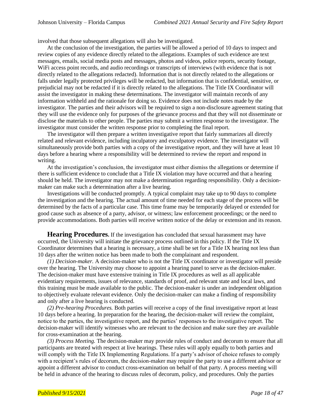involved that those subsequent allegations will also be investigated.

At the conclusion of the investigation, the parties will be allowed a period of 10 days to inspect and review copies of any evidence directly related to the allegations. Examples of such evidence are text messages, emails, social media posts and messages, photos and videos, police reports, security footage, WiFi access point records, and audio recordings or transcripts of interviews (with evidence that is not directly related to the allegations redacted). Information that is not directly related to the allegations or falls under legally protected privileges will be redacted, but information that is confidential, sensitive, or prejudicial may not be redacted if it is directly related to the allegations. The Title IX Coordinator will assist the investigator in making these determinations. The investigator will maintain records of any information withheld and the rationale for doing so. Evidence does not include notes made by the investigator. The parties and their advisors will be required to sign a non-disclosure agreement stating that they will use the evidence only for purposes of the grievance process and that they will not disseminate or disclose the materials to other people. The parties may submit a written response to the investigator. The investigator must consider the written response prior to completing the final report.

The investigator will then prepare a written investigative report that fairly summarizes all directly related and relevant evidence, including inculpatory and exculpatory evidence. The investigator will simultaneously provide both parties with a copy of the investigative report, and they will have at least 10 days before a hearing where a responsibility will be determined to review the report and respond in writing.

At the investigation's conclusion, the investigator must either dismiss the allegations or determine if there is sufficient evidence to conclude that a Title IX violation may have occurred and that a hearing should be held. The investigator may not make a determination regarding responsibility. Only a decisionmaker can make such a determination after a live hearing.

Investigations will be conducted promptly. A typical complaint may take up to 90 days to complete the investigation and the hearing. The actual amount of time needed for each stage of the process will be determined by the facts of a particular case. This time frame may be temporarily delayed or extended for good cause such as absence of a party, advisor, or witness; law enforcement proceedings; or the need to provide accommodations. Both parties will receive written notice of the delay or extension and its reason.

**Hearing Procedures.** If the investigation has concluded that sexual harassment may have occurred, the University will initiate the grievance process outlined in this policy. If the Title IX Coordinator determines that a hearing is necessary, a time shall be set for a Title IX hearing not less than 10 days after the written notice has been made to both the complainant and respondent.

*(1) Decision-maker.* A decision-maker who is not the Title IX coordinator or investigator will preside over the hearing. The University may choose to appoint a hearing panel to serve as the decision-maker. The decision-maker must have extensive training in Title IX procedures as well as all applicable evidentiary requirements, issues of relevance, standards of proof, and relevant state and local laws, and this training must be made available to the public. The decision-maker is under an independent obligation to objectively evaluate relevant evidence. Only the decision-maker can make a finding of responsibility and only after a live hearing is conducted.

*(2) Pre-hearing Procedures.* Both parties will receive a copy of the final investigative report at least 10 days before a hearing. In preparation for the hearing, the decision-maker will review the complaint, notice to the parties, the investigative report, and the parties' responses to the investigative report. The decision-maker will identify witnesses who are relevant to the decision and make sure they are available for cross-examination at the hearing.

*(3) Process Meeting.* The decision-maker may provide rules of conduct and decorum to ensure that all participants are treated with respect at live hearings. These rules will apply equally to both parties and will comply with the Title IX Implementing Regulations. If a party's advisor of choice refuses to comply with a recipient's rules of decorum, the decision-maker may require the party to use a different advisor or appoint a different advisor to conduct cross-examination on behalf of that party. A process meeting will be held in advance of the hearing to discuss rules of decorum, policy, and procedures. Only the parties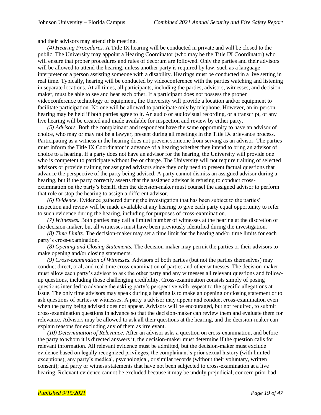and their advisors may attend this meeting.

*(4) Hearing Procedures.* A Title IX hearing will be conducted in private and will be closed to the public. The University may appoint a Hearing Coordinator (who may be the Title IX Coordinator) who will ensure that proper procedures and rules of decorum are followed. Only the parties and their advisors will be allowed to attend the hearing, unless another party is required by law, such as a language interpreter or a person assisting someone with a disability. Hearings must be conducted in a live setting in real time. Typically, hearing will be conducted by videoconference with the parties watching and listening in separate locations. At all times, all participants, including the parties, advisors, witnesses, and decisionmaker, must be able to see and hear each other. If a participant does not possess the proper videoconference technology or equipment, the University will provide a location and/or equipment to facilitate participation. No one will be allowed to participate only by telephone. However, an in-person hearing may be held if both parties agree to it. An audio or audiovisual recording, or a transcript, of any live hearing will be created and made available for inspection and review by either party.

*(5) Advisors.* Both the complainant and respondent have the same opportunity to have an advisor of choice, who may or may not be a lawyer, present during all meetings in the Title IX grievance process. Participating as a witness in the hearing does not prevent someone from serving as an advisor. The parties must inform the Title IX Coordinator in advance of a hearing whether they intend to bring an advisor of choice to a hearing. If a party does not have an advisor for the hearing, the University will provide one who is competent to participate without fee or charge. The University will not require training of selected advisors or provide training for assigned advisors since they only need to present factual questions that advance the perspective of the party being advised. A party cannot dismiss an assigned advisor during a hearing, but if the party correctly asserts that the assigned advisor is refusing to conduct crossexamination on the party's behalf, then the decision-maker must counsel the assigned advisor to perform that role or stop the hearing to assign a different advisor.

*(6) Evidence.* Evidence gathered during the investigation that has been subject to the parties' inspection and review will be made available at any hearing to give each party equal opportunity to refer to such evidence during the hearing, including for purposes of cross-examination.

*(7) Witnesses.* Both parties may call a limited number of witnesses at the hearing at the discretion of the decision-maker, but all witnesses must have been previously identified during the investigation.

*(8) Time Limits.* The decision-maker may set a time limit for the hearing and/or time limits for each party's cross-examination.

*(8) Opening and Closing Statements.* The decision-maker may permit the parties or their advisors to make opening and/or closing statements.

*(9) Cross-examination of Witnesses.* Advisors of both parties (but not the parties themselves) may conduct direct, oral, and real-time cross-examination of parties and other witnesses. The decision-maker must allow each party's advisor to ask the other party and any witnesses all relevant questions and followup questions, including those challenging credibility. Cross-examination consists simply of posing questions intended to advance the asking party's perspective with respect to the specific allegations at issue. The only time advisors may speak during a hearing is to make an opening or closing statement or to ask questions of parties or witnesses. A party's advisor may appear and conduct cross-examination even when the party being advised does not appear. Advisors will be encouraged, but not required, to submit cross-examination questions in advance so that the decision-maker can review them and evaluate them for relevance. Advisors may be allowed to ask all their questions at the hearing, and the decision-maker can explain reasons for excluding any of them as irrelevant.

*(10) Determination of Relevance.* After an advisor asks a question on cross-examination, and before the party to whom it is directed answers it, the decision-maker must determine if the question calls for relevant information. All relevant evidence must be admitted, but the decision-maker must exclude evidence based on legally recognized privileges; the complainant's prior sexual history (with limited exceptions); any party's medical, psychological, or similar records (without their voluntary, written consent); and party or witness statements that have not been subjected to cross-examination at a live hearing. Relevant evidence cannot be excluded because it may be unduly prejudicial, concern prior bad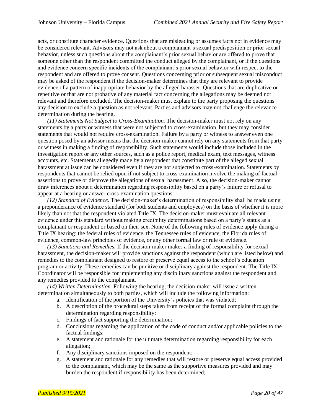acts, or constitute character evidence. Questions that are misleading or assumes facts not in evidence may be considered relevant. Advisors may not ask about a complainant's sexual predisposition or prior sexual behavior, unless such questions about the complainant's prior sexual behavior are offered to prove that someone other than the respondent committed the conduct alleged by the complainant, or if the questions and evidence concern specific incidents of the complainant's prior sexual behavior with respect to the respondent and are offered to prove consent. Questions concerning prior or subsequent sexual misconduct may be asked of the respondent if the decision-maker determines that they are relevant to provide evidence of a pattern of inappropriate behavior by the alleged harasser. Questions that are duplicative or repetitive or that are not probative of any material fact concerning the allegations may be deemed not relevant and therefore excluded. The decision-maker must explain to the party proposing the questions any decision to exclude a question as not relevant. Parties and advisors may not challenge the relevance determination during the hearing.

*(11) Statements Not Subject to Cross-Examination.* The decision-maker must not rely on any statements by a party or witness that were not subjected to cross-examination, but they may consider statements that would not require cross-examination. Failure by a party or witness to answer even one question posed by an advisor means that the decision-maker cannot rely on any statements from that party or witness in making a finding of responsibility. Such statements would include those included in the investigation report or any other sources, such as a police report, medical exam, text messages, witness accounts, etc. Statements allegedly made by a respondent that constitute part of the alleged sexual harassment at issue can be considered even if they are not subjected to cross-examination. Statements by respondents that cannot be relied upon if not subject to cross-examination involve the making of factual assertions to prove or disprove the allegations of sexual harassment. Also, the decision-maker cannot draw inferences about a determination regarding responsibility based on a party's failure or refusal to appear at a hearing or answer cross-examination questions.

*(12) Standard of Evidence.* The decision-maker's determination of responsibility shall be made using a preponderance of evidence standard (for both students and employees) on the basis of whether it is more likely than not that the respondent violated Title IX. The decision-maker must evaluate all relevant evidence under this standard without making credibility determinations based on a party's status as a complainant or respondent or based on their sex. None of the following rules of evidence apply during a Title IX hearing: the federal rules of evidence, the Tennessee rules of evidence, the Florida rules of evidence, common-law principles of evidence, or any other formal law or rule of evidence.

*(13) Sanctions and Remedies.* If the decision-maker makes a finding of responsibility for sexual harassment, the decision-maker will provide sanctions against the respondent (which are listed below) and remedies to the complainant designed to restore or preserve equal access to the school's education program or activity. These remedies can be punitive or disciplinary against the respondent. The Title IX Coordinator will be responsible for implementing any disciplinary sanctions against the respondent and any remedies provided to the complainant.

*(14) Written Determination.* Following the hearing, the decision-maker will issue a written determination simultaneously to both parties, which will include the following information:

- a. Identification of the portion of the University's policies that was violated;
- b. A description of the procedural steps taken from receipt of the formal complaint through the determination regarding responsibility;
- c. Findings of fact supporting the determination;
- d. Conclusions regarding the application of the code of conduct and/or applicable policies to the factual findings;
- e. A statement and rationale for the ultimate determination regarding responsibility for each allegation;
- f. Any disciplinary sanctions imposed on the respondent;
- g. A statement and rationale for any remedies that will restore or preserve equal access provided to the complainant, which may be the same as the supportive measures provided and may burden the respondent if responsibility has been determined;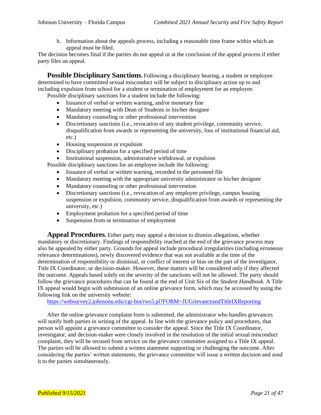h. Information about the appeals process, including a reasonable time frame within which an appeal must be filed.

The decision becomes final if the parties do not appeal or at the conclusion of the appeal process if either party files an appeal.

**Possible Disciplinary Sanctions.** Following a disciplinary hearing, a student or employee determined to have committed sexual misconduct will be subject to disciplinary action up to and including expulsion from school for a student or termination of employment for an employee. Possible disciplinary sanctions for a student include the following:

- Issuance of verbal or written warning, and/or monetary fine
- Mandatory meeting with Dean of Students or his/her designee
- Mandatory counseling or other professional intervention
- Discretionary sanctions (i.e., revocation of any student privilege, community service, disqualification from awards or representing the university, loss of institutional financial aid, etc.)
- Housing suspension or expulsion
- Disciplinary probation for a specified period of time
- Institutional suspension, administrative withdrawal, or expulsion

Possible disciplinary sanctions for an employee include the following:

- Issuance of verbal or written warning, recorded in the personnel file
- Mandatory meeting with the appropriate university administrator or his/her designee
- Mandatory counseling or other professional intervention
- Discretionary sanctions (i.e., revocation of any employee privilege, campus housing suspension or expulsion, community service, disqualification from awards or representing the university, etc.)
- Employment probation for a specified period of time
- Suspension from or termination of employment

**Appeal Procedures.** Either party may appeal a decision to dismiss allegations, whether mandatory or discretionary. Findings of responsibility reached at the end of the grievance process may also be appealed by either party. Grounds for appeal include procedural irregularities (including erroneous relevance determinations), newly discovered evidence that was not available at the time of the determination of responsibility or dismissal, or conflict of interest or bias on the part of the investigator, Title IX Coordinator, or decision-maker. However, these matters will be considered only if they affected the outcome. Appeals based solely on the severity of the sanctions will not be allowed. The party should follow the grievance procedures that can be found at the end of Unit Six of the *Student Handbook.* A Title IX appeal would begin with submission of an online grievance form, which may be accessed by using the following link on the university website:

<https://websurvey2.johnsonu.edu/cgi-bin/rws5.pl?FORM=JUGrievanceandTitleIXReporting>

After the online grievance complaint form is submitted, the administrator who handles grievances will notify both parties in writing of the appeal. In line with the grievance policy and procedures, that person will appoint a grievance committee to consider the appeal. Since the Title IX Coordinator, investigator, and decision-maker were closely involved in the resolution of the initial sexual misconduct complaint, they will be recused from service on the grievance committee assigned to a Title IX appeal. The parties will be allowed to submit a written statement supporting or challenging the outcome. After considering the parties' written statements, the grievance committee will issue a written decision and send it to the parties simultaneously.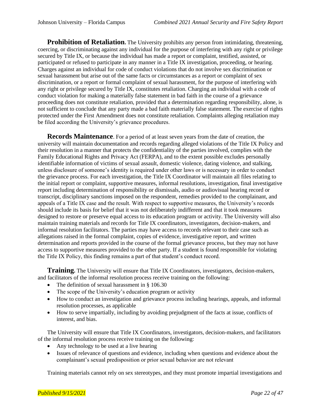**Prohibition of Retaliation.** The University prohibits any person from intimidating, threatening, coercing, or discriminating against any individual for the purpose of interfering with any right or privilege secured by Title IX, or because the individual has made a report or complaint, testified, assisted, or participated or refused to participate in any manner in a Title IX investigation, proceeding, or hearing. Charges against an individual for code of conduct violations that do not involve sex discrimination or sexual harassment but arise out of the same facts or circumstances as a report or complaint of sex discrimination, or a report or formal complaint of sexual harassment, for the purpose of interfering with any right or privilege secured by Title IX, constitutes retaliation. Charging an individual with a code of conduct violation for making a materially false statement in bad faith in the course of a grievance proceeding does not constitute retaliation, provided that a determination regarding responsibility, alone, is not sufficient to conclude that any party made a bad faith materially false statement. The exercise of rights protected under the First Amendment does not constitute retaliation. Complaints alleging retaliation may be filed according the University's grievance procedures.

**Records Maintenance**. For a period of at least seven years from the date of creation, the university will maintain documentation and records regarding alleged violations of the Title IX Policy and their resolution in a manner that protects the confidentiality of the parties involved, complies with the Family Educational Rights and Privacy Act (FERPA), and to the extent possible excludes personally identifiable information of victims of sexual assault, domestic violence, dating violence, and stalking, unless disclosure of someone's identity is required under other laws or is necessary in order to conduct the grievance process. For each investigation, the Title IX Coordinator will maintain all files relating to the initial report or complaint, supportive measures, informal resolutions, investigation, final investigative report including determination of responsibility or dismissals, audio or audiovisual hearing record or transcript, disciplinary sanctions imposed on the respondent, remedies provided to the complainant, and appeals of a Title IX case and the result. With respect to supportive measures, the University's records should include its basis for belief that it was not deliberately indifferent and that it took measures designed to restore or preserve equal access to its education program or activity. The University will also maintain training materials and records for Title IX coordinators, investigators, decision-makers, and informal resolution facilitators. The parties may have access to records relevant to their case such as allegations raised in the formal complaint, copies of evidence, investigative report, and written determination and reports provided in the course of the formal grievance process, but they may not have access to supportive measures provided to the other party. If a student is found responsible for violating the Title IX Policy, this finding remains a part of that student's conduct record.

**Training.** The University will ensure that Title IX Coordinators, investigators, decision-makers, and facilitators of the informal resolution process receive training on the following:

- The definition of sexual harassment in § 106.30
- The scope of the University's education program or activity
- How to conduct an investigation and grievance process including hearings, appeals, and informal resolution processes, as applicable
- How to serve impartially, including by avoiding prejudgment of the facts at issue, conflicts of interest, and bias.

The University will ensure that Title IX Coordinators, investigators, decision-makers, and facilitators of the informal resolution process receive training on the following:

- Any technology to be used at a live hearing
- Issues of relevance of questions and evidence, including when questions and evidence about the complainant's sexual predisposition or prior sexual behavior are not relevant

Training materials cannot rely on sex stereotypes, and they must promote impartial investigations and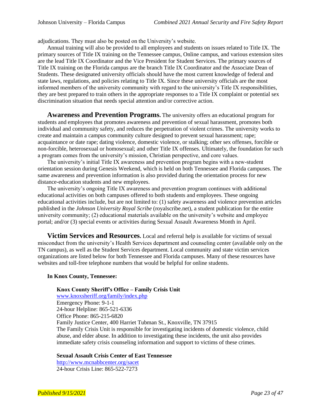adjudications. They must also be posted on the University's website.

Annual training will also be provided to all employees and students on issues related to Title IX. The primary sources of Title IX training on the Tennessee campus, Online campus, and various extension sites are the lead Title IX Coordinator and the Vice President for Student Services. The primary sources of Title IX training on the Florida campus are the branch Title IX Coordinator and the Associate Dean of Students. These designated university officials should have the most current knowledge of federal and state laws, regulations, and policies relating to Title IX. Since these university officials are the most informed members of the university community with regard to the university's Title IX responsibilities, they are best prepared to train others in the appropriate responses to a Title IX complaint or potential sex discrimination situation that needs special attention and/or corrective action.

**Awareness and Prevention Programs.** The university offers an educational program for students and employees that promotes awareness and prevention of sexual harassment, promotes both individual and community safety, and reduces the perpetration of violent crimes. The university works to create and maintain a campus community culture designed to prevent sexual harassment; rape; acquaintance or date rape; dating violence, domestic violence, or stalking; other sex offenses, forcible or non-forcible, heterosexual or homosexual; and other Title IX offenses. Ultimately, the foundation for such a program comes from the university's mission, Christian perspective, and core values.

The university's initial Title IX awareness and prevention program begins with a new-student orientation session during Genesis Weekend, which is held on both Tennessee and Florida campuses. The same awareness and prevention information is also provided during the orientation process for new distance-education students and new employees.

The university's ongoing Title IX awareness and prevention program continues with additional educational activities on both campuses offered to both students and employees. These ongoing educational activities include, but are not limited to: (1) safety awareness and violence prevention articles published in the *Johnson University Royal Scribe* (royalscribe.net), a student publication for the entire university community; (2) educational materials available on the university's website and employee portal; and/or (3) special events or activities during Sexual Assault Awareness Month in April.

**Victim Services and Resources.** Local and referral help is available for victims of sexual misconduct from the university's Health Services department and counseling center (available only on the TN campus), as well as the Student Services department. Local community and state victim services organizations are listed below for both Tennessee and Florida campuses. Many of these resources have websites and toll-free telephone numbers that would be helpful for online students.

#### **In Knox County, Tennessee:**

#### **Knox County Sheriff's Office – Family Crisis Unit**

[www.knoxsheriff.org/family/index.php](http://www.knoxsheriff.org/family/index.php) Emergency Phone: 9-1-1 24-hour Helpline: 865-521-6336 Office Phone: 865-215-6820 Family Justice Center, 400 Harriet Tubman St., Knoxville, TN 37915 The Family Crisis Unit is responsible for investigating incidents of domestic violence, child abuse, and elder abuse. In addition to investigating these incidents, the unit also provides immediate safety crisis counseling information and support to victims of these crimes.

**Sexual Assault Crisis Center of East Tennessee**

<http://www.mcnabbcenter.org/sacet> 24-hour Crisis Line: 865-522-7273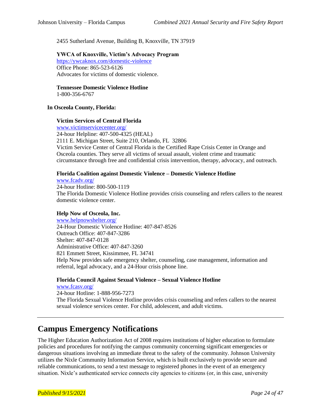2455 Sutherland Avenue, Building B, Knoxville, TN 37919

**YWCA of Knoxville, Victim's Advocacy Program**  <https://ywcaknox.com/domestic-violence> Office Phone: 865-523-6126 Advocates for victims of domestic violence.

**Tennessee Domestic Violence Hotline**

1-800-356-6767

#### **In Osceola County, Florida:**

#### **Victim Services of Central Florida**

[www.victimservicecenter.org/](https://na01.safelinks.protection.outlook.com/?url=http%3A%2F%2Fwww.victimservicecenter.org%2F&data=02%7C01%7C%7Cb453bd01e87141efc1d008d5f8bc3a49%7Cea0ad8b287504f9aa9bd290c49ba022f%7C0%7C0%7C636688409659026832&sdata=%2BEjM8DW4Lpv6CrZxioab2rTvPxcftf57M6VqGEGlqKM%3D&reserved=0) 24-hour Helpline: 407-500-4325 (HEAL) 2111 E. Michigan Street, Suite 210, Orlando, FL 32806 Victim Service Center of Central Florida is the Certified Rape Crisis Center in Orange and Osceola counties. They serve all victims of sexual assault, violent crime and traumatic circumstance through free and confidential crisis intervention, therapy, advocacy, and outreach.

#### **Florida Coalition against Domestic Violence – Domestic Violence Hotline**

[www.fcadv.org/](http://www.fcadv.org/) 24-hour Hotline: 800-500-1119 The Florida Domestic Violence Hotline provides crisis counseling and refers callers to the nearest domestic violence center.

#### **Help Now of Osceola, Inc.**

[www.helpnowshelter.org/](http://www.helpnowshelter.org/) 24-Hour Domestic Violence Hotline: 407-847-8526 Outreach Office: 407-847-3286 Shelter: 407-847-0128 Administrative Office: 407-847-3260 821 Emmett Street, Kissimmee, FL 34741 Help Now provides safe emergency shelter, counseling, case management, information and referral, legal advocacy, and a 24-Hour crisis phone line.

#### **Florida Council Against Sexual Violence – Sexual Violence Hotline**

[www.fcasv.org/](http://www.fcasv.org/) 24-hour Hotline: 1-888-956-7273 The Florida Sexual Violence Hotline provides crisis counseling and refers callers to the nearest sexual violence services center. For child, adolescent, and adult victims.

### **Campus Emergency Notifications**

The Higher Education Authorization Act of 2008 requires institutions of higher education to formulate policies and procedures for notifying the campus community concerning significant emergencies or dangerous situations involving an immediate threat to the safety of the community. Johnson University utilizes the Nixle Community Information Service, which is built exclusively to provide secure and reliable communications, to send a text message to registered phones in the event of an emergency situation. Nixle's authenticated service connects city agencies to citizens (or, in this case, university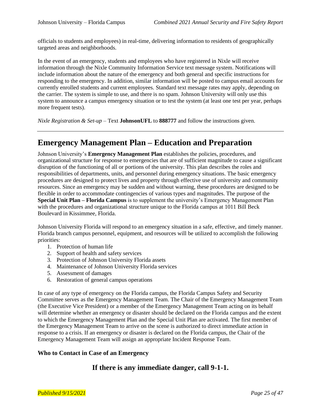officials to students and employees) in real-time, delivering information to residents of geographically targeted areas and neighborhoods.

In the event of an emergency, students and employees who have registered in Nixle will receive information through the Nixle Community Information Service text message system. Notifications will include information about the nature of the emergency and both general and specific instructions for responding to the emergency. In addition, similar information will be posted to campus email accounts for currently enrolled students and current employees. Standard text message rates may apply, depending on the carrier. The system is simple to use, and there is no spam. Johnson University will only use this system to announce a campus emergency situation or to test the system (at least one test per year, perhaps more frequent tests).

*Nixle Registration & Set-up* – Text **JohnsonUFL** to **888777** and follow the instructions given.

## **Emergency Management Plan – Education and Preparation**

Johnson University's **Emergency Management Plan** establishes the policies, procedures, and organizational structure for response to emergencies that are of sufficient magnitude to cause a significant disruption of the functioning of all or portions of the university. This plan describes the roles and responsibilities of departments, units, and personnel during emergency situations. The basic emergency procedures are designed to protect lives and property through effective use of university and community resources. Since an emergency may be sudden and without warning, these procedures are designed to be flexible in order to accommodate contingencies of various types and magnitudes. The purpose of the **Special Unit Plan – Florida Campus** is to supplement the university's Emergency Management Plan with the procedures and organizational structure unique to the Florida campus at 1011 Bill Beck Boulevard in Kissimmee, Florida.

Johnson University Florida will respond to an emergency situation in a safe, effective, and timely manner. Florida branch campus personnel, equipment, and resources will be utilized to accomplish the following priorities:

- 1. Protection of human life
- 2. Support of health and safety services
- 3. Protection of Johnson University Florida assets
- 4. Maintenance of Johnson University Florida services
- 5. Assessment of damages
- 6. Restoration of general campus operations

In case of any type of emergency on the Florida campus, the Florida Campus Safety and Security Committee serves as the Emergency Management Team. The Chair of the Emergency Management Team (the Executive Vice President) or a member of the Emergency Management Team acting on its behalf will determine whether an emergency or disaster should be declared on the Florida campus and the extent to which the Emergency Management Plan and the Special Unit Plan are activated. The first member of the Emergency Management Team to arrive on the scene is authorized to direct immediate action in response to a crisis. If an emergency or disaster is declared on the Florida campus, the Chair of the Emergency Management Team will assign an appropriate Incident Response Team.

#### **Who to Contact in Case of an Emergency**

### **If there is any immediate danger, call 9-1-1.**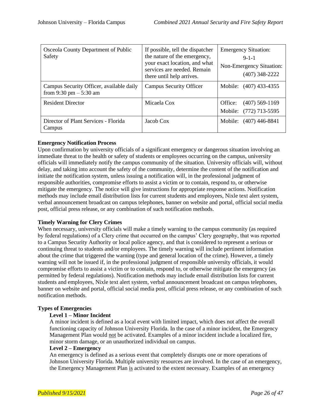| Osceola County Department of Public<br>Safety                        | If possible, tell the dispatcher<br>the nature of the emergency,<br>your exact location, and what<br>services are needed. Remain<br>there until help arrives. | <b>Emergency Situation:</b><br>$9 - 1 - 1$<br>Non-Emergency Situation:<br>$(407)$ 348-2222 |
|----------------------------------------------------------------------|---------------------------------------------------------------------------------------------------------------------------------------------------------------|--------------------------------------------------------------------------------------------|
| Campus Security Officer, available daily<br>from 9:30 pm $-$ 5:30 am | <b>Campus Security Officer</b>                                                                                                                                | Mobile: (407) 433-4355                                                                     |
| <b>Resident Director</b>                                             | Micaela Cox                                                                                                                                                   | $(407)$ 569-1169<br>Office:<br>Mobile: (772) 713-5595                                      |
| Director of Plant Services - Florida<br>Campus                       | Jacob Cox                                                                                                                                                     | Mobile: (407) 446-8841                                                                     |

#### **Emergency Notification Process**

Upon confirmation by university officials of a significant emergency or dangerous situation involving an immediate threat to the health or safety of students or employees occurring on the campus, university officials will immediately notify the campus community of the situation. University officials will, without delay, and taking into account the safety of the community, determine the content of the notification and initiate the notification system, unless issuing a notification will, in the professional judgment of responsible authorities, compromise efforts to assist a victim or to contain, respond to, or otherwise mitigate the emergency. The notice will give instructions for appropriate response actions. Notification methods may include email distribution lists for current students and employees, Nixle text alert system, verbal announcement broadcast on campus telephones, banner on website and portal, official social media post, official press release, or any combination of such notification methods.

#### **Timely Warning for Clery Crimes**

When necessary, university officials will make a timely warning to the campus community (as required by federal regulations) of a Clery crime that occurred on the campus' Clery geography, that was reported to a Campus Security Authority or local police agency, and that is considered to represent a serious or continuing threat to students and/or employees. The timely warning will include pertinent information about the crime that triggered the warning (type and general location of the crime). However, a timely warning will not be issued if, in the professional judgment of responsible university officials, it would compromise efforts to assist a victim or to contain, respond to, or otherwise mitigate the emergency (as permitted by federal regulations). Notification methods may include email distribution lists for current students and employees, Nixle text alert system, verbal announcement broadcast on campus telephones, banner on website and portal, official social media post, official press release, or any combination of such notification methods.

#### **Types of Emergencies**

#### **Level 1 – Minor Incident**

A minor incident is defined as a local event with limited impact, which does not affect the overall functioning capacity of Johnson University Florida. In the case of a minor incident, the Emergency Management Plan would not be activated. Examples of a minor incident include a localized fire, minor storm damage, or an unauthorized individual on campus.

#### **Level 2 – Emergency**

An emergency is defined as a serious event that completely disrupts one or more operations of Johnson University Florida. Multiple university resources are involved. In the case of an emergency, the Emergency Management Plan is activated to the extent necessary. Examples of an emergency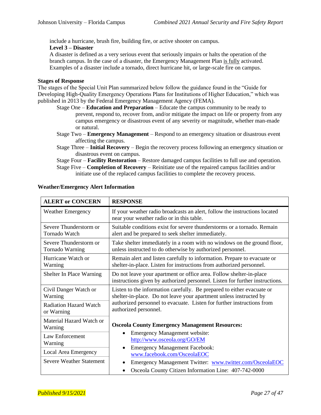include a hurricane, brush fire, building fire, or active shooter on campus.

**Level 3 – Disaster**

A disaster is defined as a very serious event that seriously impairs or halts the operation of the branch campus. In the case of a disaster, the Emergency Management Plan is fully activated. Examples of a disaster include a tornado, direct hurricane hit, or large-scale fire on campus.

#### **Stages of Response**

The stages of the Special Unit Plan summarized below follow the guidance found in the "Guide for Developing High-Quality Emergency Operations Plans for Institutions of Higher Education," which was published in 2013 by the Federal Emergency Management Agency (FEMA).

- Stage One **Education and Preparation** Educate the campus community to be ready to prevent, respond to, recover from, and/or mitigate the impact on life or property from any campus emergency or disastrous event of any severity or magnitude, whether man-made or natural.
- Stage Two **Emergency Management** Respond to an emergency situation or disastrous event affecting the campus.
- Stage Three **Initial Recovery** Begin the recovery process following an emergency situation or disastrous event on campus.

Stage Four – **Facility Restoration** – Restore damaged campus facilities to full use and operation.

Stage Five – **Completion of Recovery** – Reinitiate use of the repaired campus facilities and/or initiate use of the replaced campus facilities to complete the recovery process.

| <b>ALERT or CONCERN</b>                     | <b>RESPONSE</b>                                                                                                                                     |  |
|---------------------------------------------|-----------------------------------------------------------------------------------------------------------------------------------------------------|--|
| <b>Weather Emergency</b>                    | If your weather radio broadcasts an alert, follow the instructions located<br>near your weather radio or in this table.                             |  |
| Severe Thunderstorm or<br>Tornado Watch     | Suitable conditions exist for severe thunderstorms or a tornado. Remain<br>alert and be prepared to seek shelter immediately.                       |  |
| Severe Thunderstorm or<br>Tornado Warning   | Take shelter immediately in a room with no windows on the ground floor,<br>unless instructed to do otherwise by authorized personnel.               |  |
| Hurricane Watch or<br>Warning               | Remain alert and listen carefully to information. Prepare to evacuate or<br>shelter-in-place. Listen for instructions from authorized personnel.    |  |
| Shelter In Place Warning                    | Do not leave your apartment or office area. Follow shelter-in-place<br>instructions given by authorized personnel. Listen for further instructions. |  |
| Civil Danger Watch or<br>Warning            | Listen to the information carefully. Be prepared to either evacuate or<br>shelter-in-place. Do not leave your apartment unless instructed by        |  |
| <b>Radiation Hazard Watch</b><br>or Warning | authorized personnel to evacuate. Listen for further instructions from<br>authorized personnel.                                                     |  |
| Material Hazard Watch or<br>Warning         | <b>Osceola County Emergency Management Resources:</b>                                                                                               |  |
| Law Enforcement<br>Warning                  | <b>Emergency Management website:</b><br>$\bullet$<br>http://www.osceola.org/GO/EM                                                                   |  |
| Local Area Emergency                        | <b>Emergency Management Facebook:</b><br>www.facebook.com/OsceolaEOC                                                                                |  |
| <b>Severe Weather Statement</b>             | Emergency Management Twitter: www.twitter.com/OsceolaEOC                                                                                            |  |
|                                             | Osceola County Citizen Information Line: 407-742-0000<br>٠                                                                                          |  |

#### **Weather/Emergency Alert Information**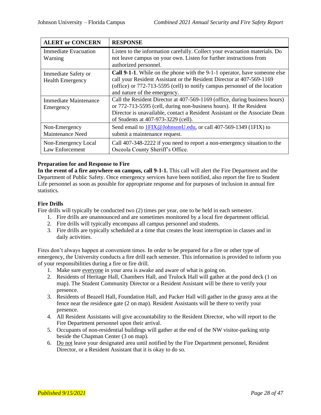| <b>ALERT or CONCERN</b>                        | <b>RESPONSE</b>                                                                                                                                                                                                                                                         |
|------------------------------------------------|-------------------------------------------------------------------------------------------------------------------------------------------------------------------------------------------------------------------------------------------------------------------------|
| <b>Immediate Evacuation</b><br>Warning         | Listen to the information carefully. Collect your evacuation materials. Do<br>not leave campus on your own. Listen for further instructions from<br>authorized personnel.                                                                                               |
| Immediate Safety or<br><b>Health Emergency</b> | <b>Call 9-1-1.</b> While on the phone with the 9-1-1 operator, have someone else<br>call your Resident Assistant or the Resident Director at 407-569-1169<br>(office) or 772-713-5595 (cell) to notify campus personnel of the location<br>and nature of the emergency. |
| Immediate Maintenance<br>Emergency             | Call the Resident Director at 407-569-1169 (office, during business hours)<br>or 772-713-5595 (cell, during non-business hours). If the Resident<br>Director is unavailable, contact a Resident Assistant or the Associate Dean<br>of Students at 407-973-3229 (cell).  |
| Non-Emergency<br>Maintenance Need              | Send email to <b>1FIX</b> @ Johnson U.edu, or call 407-569-1349 (1FIX) to<br>submit a maintenance request.                                                                                                                                                              |
| Non-Emergency Local<br>Law Enforcement         | Call 407-348-2222 if you need to report a non-emergency situation to the<br>Osceola County Sheriff's Office.                                                                                                                                                            |

#### **Preparation for and Response to Fire**

In the event of a fire anywhere on campus, call 9-1-1. This call will alert the Fire Department and the Department of Public Safety. Once emergency services have been notified, also report the fire to Student Life personnel as soon as possible for appropriate response and for purposes of inclusion in annual fire statistics.

#### **Fire Drills**

Fire drills will typically be conducted two (2) times per year, one to be held in each semester.

- 1. Fire drills are unannounced and are sometimes monitored by a local fire department official.
- 2. Fire drills will typically encompass all campus personnel and students.
- 3. Fire drills are typically scheduled at a time that creates the least interruption in classes and in daily activities.

Fires don't always happen at convenient times. In order to be prepared for a fire or other type of emergency, the University conducts a fire drill each semester. This information is provided to inform you of your responsibilities during a fire or fire drill.

- 1. Make sure everyone in your area is awake and aware of what is going on.
- 2. Residents of Heritage Hall, Chambers Hall, and Trulock Hall will gather at the pond deck (1 on map). The Student Community Director or a Resident Assistant will be there to verify your presence.
- 3. Residents of Beazell Hall, Foundation Hall, and Packer Hall will gather in the grassy area at the fence near the residence gate (2 on map). Resident Assistants will be there to verify your presence.
- 4. All Resident Assistants will give accountability to the Resident Director, who will report to the Fire Department personnel upon their arrival.
- 5. Occupants of non-residential buildings will gather at the end of the NW visitor-parking strip beside the Chapman Center (3 on map).
- 6. Do not leave your designated area until notified by the Fire Department personnel, Resident Director, or a Resident Assistant that it is okay to do so.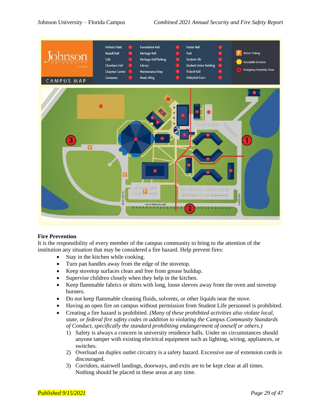

#### **Fire Prevention**

It is the responsibility of every member of the campus community to bring to the attention of the institution any situation that may be considered a fire hazard. Help prevent fires:

- Stay in the kitchen while cooking.
- Turn pan handles away from the edge of the stovetop.
- Keep stovetop surfaces clean and free from grease buildup.
- Supervise children closely when they help in the kitchen.
- Keep flammable fabrics or shirts with long, loose sleeves away from the oven and stovetop burners.
- Do not keep flammable cleaning fluids, solvents, or other liquids near the stove.
- Having an open fire on campus without permission from Student Life personnel is prohibited.
- Creating a fire hazard is prohibited. *(Many of these prohibited activities also violate local, state, or federal fire safety codes in addition to violating the Campus Community Standards of Conduct, specifically the standard prohibiting endangerment of oneself or others.)*
	- 1) Safety is always a concern in university residence halls. Under no circumstances should anyone tamper with existing electrical equipment such as lighting, wiring, appliances, or switches.
	- 2) Overload on duplex outlet circuitry is a safety hazard. Excessive use of extension cords is discouraged.
	- 3) Corridors, stairwell landings, doorways, and exits are to be kept clear at all times. Nothing should be placed in these areas at any time.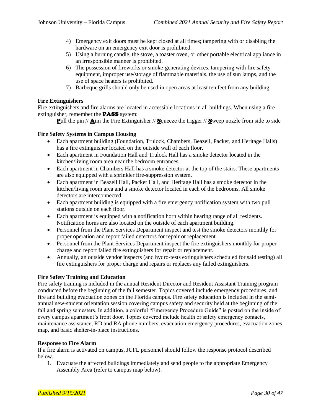- 4) Emergency exit doors must be kept closed at all times; tampering with or disabling the hardware on an emergency exit door is prohibited.
- 5) Using a burning candle, the stove, a toaster oven, or other portable electrical appliance in an irresponsible manner is prohibited.
- 6) The possession of fireworks or smoke-generating devices, tampering with fire safety equipment, improper use/storage of flammable materials, the use of sun lamps, and the use of space heaters is prohibited.
- 7) Barbeque grills should only be used in open areas at least ten feet from any building.

#### **Fire Extinguishers**

Fire extinguishers and fire alarms are located in accessible locations in all buildings. When using a fire extinguisher, remember the PASS system:

**Pull the pin // Aim the Fire Extinguisher // Squeeze the trigger // Sweep nozzle from side to side** 

#### **Fire Safety Systems in Campus Housing**

- Each apartment building (Foundation, Trulock, Chambers, Beazell, Packer, and Heritage Halls) has a fire extinguisher located on the outside wall of each floor.
- Each apartment in Foundation Hall and Trulock Hall has a smoke detector located in the kitchen/living room area near the bedroom entrances.
- Each apartment in Chambers Hall has a smoke detector at the top of the stairs. These apartments are also equipped with a sprinkler fire-suppression system.
- Each apartment in Beazell Hall, Packer Hall, and Heritage Hall has a smoke detector in the kitchen/living room area and a smoke detector located in each of the bedrooms. All smoke detectors are interconnected.
- Each apartment building is equipped with a fire emergency notification system with two pull stations outside on each floor.
- Each apartment is equipped with a notification horn within hearing range of all residents. Notification horns are also located on the outside of each apartment building.
- Personnel from the Plant Services Department inspect and test the smoke detectors monthly for proper operation and report failed detectors for repair or replacement.
- Personnel from the Plant Services Department inspect the fire extinguishers monthly for proper charge and report failed fire extinguishers for repair or replacement.
- Annually, an outside vendor inspects (and hydro-tests extinguishers scheduled for said testing) all fire extinguishers for proper charge and repairs or replaces any failed extinguishers.

#### **Fire Safety Training and Education**

Fire safety training is included in the annual Resident Director and Resident Assistant Training program conducted before the beginning of the fall semester. Topics covered include emergency procedures, and fire and building evacuation zones on the Florida campus. Fire safety education is included in the semiannual new-student orientation session covering campus safety and security held at the beginning of the fall and spring semesters. In addition, a colorful "Emergency Procedure Guide" is posted on the inside of every campus apartment's front door. Topics covered include health or safety emergency contacts, maintenance assistance, RD and RA phone numbers, evacuation emergency procedures, evacuation zones map, and basic shelter-in-place instructions.

#### **Response to Fire Alarm**

If a fire alarm is activated on campus, JUFL personnel should follow the response protocol described below.

1. Evacuate the affected buildings immediately and send people to the appropriate Emergency Assembly Area (refer to campus map below).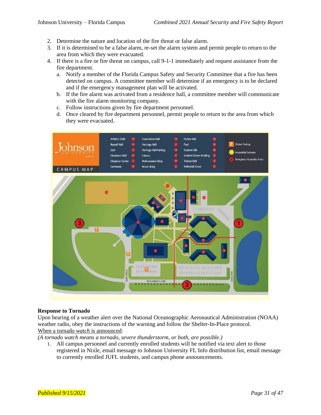- 2. Determine the nature and location of the fire threat or false alarm.
- 3. If it is determined to be a false alarm, re-set the alarm system and permit people to return to the area from which they were evacuated.
- 4. If there is a fire or fire threat on campus, call 9-1-1 immediately and request assistance from the fire department.
	- a. Notify a member of the Florida Campus Safety and Security Committee that a fire has been detected on campus. A committee member will determine if an emergency is to be declared and if the emergency management plan will be activated.
	- b. If the fire alarm was activated from a residence hall, a committee member will communicate with the fire alarm monitoring company.
	- c. Follow instructions given by fire department personnel.
	- d. Once cleared by fire department personnel, permit people to return to the area from which they were evacuated.



#### **Response to Tornado**

Upon hearing of a weather alert over the National Oceanographic Aeronautical Administration (NOAA) weather radio, obey the instructions of the warning and follow the Shelter-In-Place protocol. When a tornado *watch* is announced:

*(A tornado watch means a tornado, severe thunderstorm, or both, are possible.)*

1. All campus personnel and currently enrolled students will be notified via text alert to those registered in Nixle, email message to Johnson University FL Info distribution list, email message to currently enrolled JUFL students, and campus phone announcements.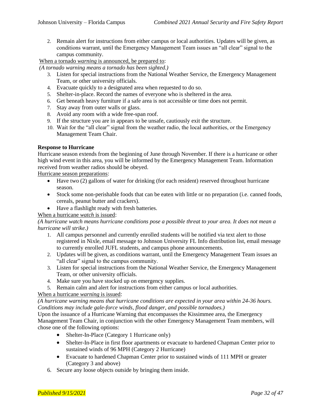2. Remain alert for instructions from either campus or local authorities. Updates will be given, as conditions warrant, until the Emergency Management Team issues an "all clear" signal to the campus community.

When a tornado *warning* is announced, be prepared to:

*(A tornado warning means a tornado has been sighted.)*

- 3. Listen for special instructions from the National Weather Service, the Emergency Management Team, or other university officials.
- 4. Evacuate quickly to a designated area when requested to do so.
- 5. Shelter-in-place. Record the names of everyone who is sheltered in the area.
- 6. Get beneath heavy furniture if a safe area is not accessible or time does not permit.
- 7. Stay away from outer walls or glass.
- 8. Avoid any room with a wide free-span roof.
- 9. If the structure you are in appears to be unsafe, cautiously exit the structure.
- 10. Wait for the "all clear" signal from the weather radio, the local authorities, or the Emergency Management Team Chair.

#### **Response to Hurricane**

Hurricane season extends from the beginning of June through November. If there is a hurricane or other high wind event in this area, you will be informed by the Emergency Management Team. Information received from weather radios should be obeyed.

Hurricane season preparations:

- Have two (2) gallons of water for drinking (for each resident) reserved throughout hurricane season.
- Stock some non-perishable foods that can be eaten with little or no preparation (i.e. canned foods, cereals, peanut butter and crackers).
- Have a flashlight ready with fresh batteries.

#### When a hurricane *watch* is issued:

*(A hurricane watch means hurricane conditions pose a possible threat to your area. It does not mean a hurricane will strike.)*

- 1. All campus personnel and currently enrolled students will be notified via text alert to those registered in Nixle, email message to Johnson University FL Info distribution list, email message to currently enrolled JUFL students, and campus phone announcements.
- 2. Updates will be given, as conditions warrant, until the Emergency Management Team issues an "all clear" signal to the campus community.
- 3. Listen for special instructions from the National Weather Service, the Emergency Management Team, or other university officials.
- 4. Make sure you have stocked up on emergency supplies.
- 5. Remain calm and alert for instructions from either campus or local authorities.

#### When a hurricane *warning* is issued:

#### *(A hurricane warning means that hurricane conditions are expected in your area within 24-36 hours. Conditions may include gale-force winds, flood danger, and possible tornadoes.)*

Upon the issuance of a Hurricane Warning that encompasses the Kissimmee area, the Emergency Management Team Chair, in conjunction with the other Emergency Management Team members, will chose one of the following options:

- Shelter-In-Place (Category 1 Hurricane only)
- Shelter-In-Place in first floor apartments or evacuate to hardened Chapman Center prior to sustained winds of 96 MPH (Category 2 Hurricane)
- Evacuate to hardened Chapman Center prior to sustained winds of 111 MPH or greater (Category 3 and above)
- 6. Secure any loose objects outside by bringing them inside.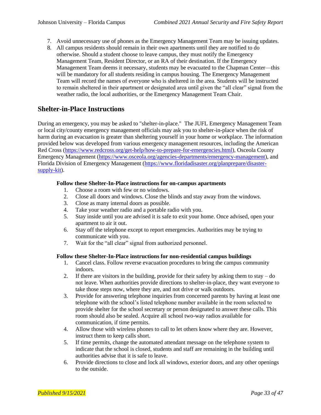- 7. Avoid unnecessary use of phones as the Emergency Management Team may be issuing updates.
- 8. All campus residents should remain in their own apartments until they are notified to do otherwise. Should a student choose to leave campus, they must notify the Emergency Management Team, Resident Director, or an RA of their destination. If the Emergency Management Team deems it necessary, students may be evacuated to the Chapman Center—this will be mandatory for all students residing in campus housing. The Emergency Management Team will record the names of everyone who is sheltered in the area. Students will be instructed to remain sheltered in their apartment or designated area until given the "all clear" signal from the weather radio, the local authorities, or the Emergency Management Team Chair.

### **Shelter-in-Place Instructions**

During an emergency, you may be asked to "shelter-in-place." The JUFL Emergency Management Team or local city/county emergency management officials may ask you to shelter-in-place when the risk of harm during an evacuation is greater than sheltering yourself in your home or workplace. The information provided below was developed from various emergency management resources, including the American Red Cross [\(https://www.redcross.org/get-help/how-to-prepare-for-emergencies.html\)](https://www.redcross.org/get-help/how-to-prepare-for-emergencies.html), Osceola County Emergency Management [\(https://www.osceola.org/agencies-departments/emergency-management\)](https://www.osceola.org/agencies-departments/emergency-management), and Florida Division of Emergency Management [\(https://www.floridadisaster.org/planprepare/disaster](https://www.floridadisaster.org/planprepare/disaster-supply-kit)[supply-kit\)](https://www.floridadisaster.org/planprepare/disaster-supply-kit).

#### **Follow these Shelter-In-Place instructions for on-campus apartments**

- 1. Choose a room with few or no windows.
- 2. Close all doors and windows. Close the blinds and stay away from the windows.
- 3. Close as many internal doors as possible.
- 4. Take your weather radio and a portable radio with you.
- 5. Stay inside until you are advised it is safe to exit your home. Once advised, open your apartment to air it out.
- 6. Stay off the telephone except to report emergencies. Authorities may be trying to communicate with you.
- 7. Wait for the "all clear" signal from authorized personnel.

#### **Follow these Shelter-In-Place instructions for non-residential campus buildings**

- 1. Cancel class. Follow reverse evacuation procedures to bring the campus community indoors.
- 2. If there are visitors in the building, provide for their safety by asking them to stay do not leave. When authorities provide directions to shelter-in-place, they want everyone to take those steps now, where they are, and not drive or walk outdoors.
- 3. Provide for answering telephone inquiries from concerned parents by having at least one telephone with the school's listed telephone number available in the room selected to provide shelter for the school secretary or person designated to answer these calls. This room should also be sealed. Acquire all school two-way radios available for communication, if time permits.
- 4. Allow those with wireless phones to call to let others know where they are. However, instruct them to keep calls short.
- 5. If time permits, change the automated attendant message on the telephone system to indicate that the school is closed, students and staff are remaining in the building until authorities advise that it is safe to leave.
- 6. Provide directions to close and lock all windows, exterior doors, and any other openings to the outside.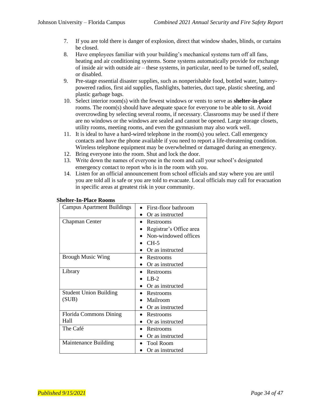- 7. If you are told there is danger of explosion, direct that window shades, blinds, or curtains be closed.
- 8. Have employees familiar with your building's mechanical systems turn off all fans, heating and air conditioning systems. Some systems automatically provide for exchange of inside air with outside air – these systems, in particular, need to be turned off, sealed, or disabled.
- 9. Pre-stage essential disaster supplies, such as nonperishable food, bottled water, batterypowered radios, first aid supplies, flashlights, batteries, duct tape, plastic sheeting, and plastic garbage bags.
- 10. Select interior room(s) with the fewest windows or vents to serve as **shelter-in-place** rooms. The room(s) should have adequate space for everyone to be able to sit. Avoid overcrowding by selecting several rooms, if necessary. Classrooms may be used if there are no windows or the windows are sealed and cannot be opened. Large storage closets, utility rooms, meeting rooms, and even the gymnasium may also work well.
- 11. It is ideal to have a hard-wired telephone in the room(s) you select. Call emergency contacts and have the phone available if you need to report a life-threatening condition. Wireless telephone equipment may be overwhelmed or damaged during an emergency.
- 12. Bring everyone into the room. Shut and lock the door.
- 13. Write down the names of everyone in the room and call your school's designated emergency contact to report who is in the room with you.
- 14. Listen for an official announcement from school officials and stay where you are until you are told all is safe or you are told to evacuate. Local officials may call for evacuation in specific areas at greatest risk in your community.

| <b>Campus Apartment Buildings</b> | First-floor bathroom    |
|-----------------------------------|-------------------------|
|                                   | Or as instructed        |
| Chapman Center                    | Restrooms               |
|                                   | Registrar's Office area |
|                                   | Non-windowed offices    |
|                                   | $CH-5$                  |
|                                   | Or as instructed        |
| <b>Brough Music Wing</b>          | Restrooms               |
|                                   | Or as instructed        |
| Library                           | Restrooms               |
|                                   | $LR-2$                  |
|                                   | Or as instructed        |
| <b>Student Union Building</b>     | • Restrooms             |
| (SUB)                             | Mailroom                |
|                                   | Or as instructed        |
| <b>Florida Commons Dining</b>     | Restrooms               |
| Hall                              | Or as instructed        |
| The Café                          | Restrooms               |
|                                   | Or as instructed        |
| Maintenance Building              | <b>Tool Room</b>        |
|                                   | Or as instructed        |

#### **Shelter-In-Place Rooms**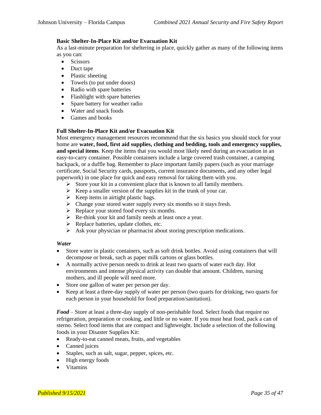#### **Basic Shelter-In-Place Kit and/or Evacuation Kit**

As a last-minute preparation for sheltering in place, quickly gather as many of the following items as you can:

- Scissors
- Duct tape
- Plastic sheeting
- Towels (to put under doors)
- Radio with spare batteries
- Flashlight with spare batteries
- Spare battery for weather radio
- Water and snack foods
- Games and books

#### **Full Shelter-In-Place Kit and/or Evacuation Kit**

Most emergency management resources recommend that the six basics you should stock for your home are **water, food, first aid supplies, clothing and bedding, tools and emergency supplies, and special items**. Keep the items that you would most likely need during an evacuation in an easy-to-carry container. Possible containers include a large covered trash container, a camping backpack, or a duffle bag. Remember to place important family papers (such as your marriage certificate, Social Security cards, passports, current insurance documents, and any other legal paperwork) in one place for quick and easy removal for taking them with you.

- ➢ Store your kit in a convenient place that is known to all family members.
- $\triangleright$  Keep a smaller version of the supplies kit in the trunk of your car.
- $\triangleright$  Keep items in airtight plastic bags.
- ➢ Change your stored water supply every six months so it stays fresh.
- $\triangleright$  Replace your stored food every six months.
- ➢ Re-think your kit and family needs at least once a year.
- $\triangleright$  Replace batteries, update clothes, etc.
- ➢ Ask your physician or pharmacist about storing prescription medications.

#### *Water*

- Store water in plastic containers, such as soft drink bottles. Avoid using containers that will decompose or break, such as paper milk cartons or glass bottles.
- A normally active person needs to drink at least two quarts of water each day. Hot environments and intense physical activity can double that amount. Children, nursing mothers, and ill people will need more.
- Store one gallon of water per person per day.
- Keep at least a three-day supply of water per person (two quarts for drinking, two quarts for each person in your household for food preparation/sanitation).

*Food* – Store at least a three-day supply of non-perishable food. Select foods that require no refrigeration, preparation or cooking, and little or no water. If you must heat food, pack a can of sterno. Select food items that are compact and lightweight. Include a selection of the following foods in your Disaster Supplies Kit:

- Ready-to-eat canned meats, fruits, and vegetables
- Canned juices
- Staples, such as salt, sugar, pepper, spices, etc.
- High energy foods
- Vitamins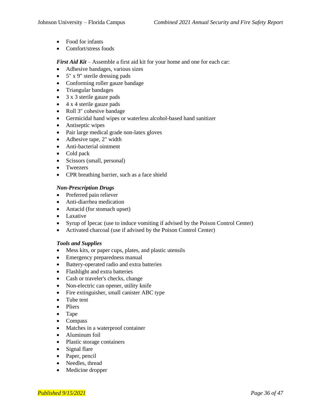- Food for infants
- Comfort/stress foods

*First Aid Kit* – Assemble a first aid kit for your home and one for each car:

- Adhesive bandages, various sizes
- 5" x 9" sterile dressing pads
- Conforming roller gauze bandage
- Triangular bandages
- 3 x 3 sterile gauze pads
- 4 x 4 sterile gauze pads
- Roll 3" cohesive bandage
- Germicidal hand wipes or waterless alcohol-based hand sanitizer
- Antiseptic wipes
- Pair large medical grade non-latex gloves
- Adhesive tape, 2" width
- Anti-bacterial ointment
- Cold pack
- Scissors (small, personal)
- Tweezers
- CPR breathing barrier, such as a face shield

#### *Non-Prescription Drugs*

- Preferred pain reliever
- Anti-diarrhea medication
- Antacid (for stomach upset)
- Laxative
- Syrup of Ipecac (use to induce vomiting if advised by the Poison Control Center)
- Activated charcoal (use if advised by the Poison Control Center)

#### *Tools and Supplies*

- Mess kits, or paper cups, plates, and plastic utensils
- Emergency preparedness manual
- Battery-operated radio and extra batteries
- Flashlight and extra batteries
- Cash or traveler's checks, change
- Non-electric can opener, utility knife
- Fire extinguisher, small canister ABC type
- Tube tent
- Pliers
- Tape
- Compass
- Matches in a waterproof container
- Aluminum foil
- Plastic storage containers
- Signal flare
- Paper, pencil
- Needles, thread
- Medicine dropper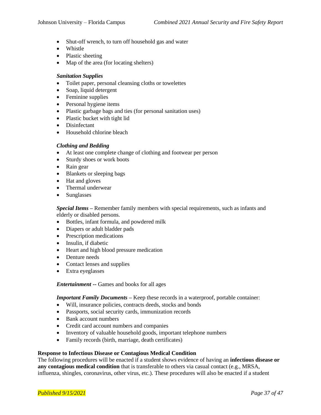- Shut-off wrench, to turn off household gas and water
- Whistle
- Plastic sheeting
- Map of the area (for locating shelters)

#### *Sanitation Supplies*

- Toilet paper, personal cleansing cloths or towelettes
- Soap, liquid detergent
- Feminine supplies
- Personal hygiene items
- Plastic garbage bags and ties (for personal sanitation uses)
- Plastic bucket with tight lid
- Disinfectant
- Household chlorine bleach

#### *Clothing and Bedding*

- At least one complete change of clothing and footwear per person
- Sturdy shoes or work boots
- Rain gear
- Blankets or sleeping bags
- Hat and gloves
- Thermal underwear
- Sunglasses

*Special Items* **–** Remember family members with special requirements, such as infants and elderly or disabled persons.

- Bottles, infant formula, and powdered milk
- Diapers or adult bladder pads
- Prescription medications
- Insulin, if diabetic
- Heart and high blood pressure medication
- Denture needs
- Contact lenses and supplies
- Extra eyeglasses

*Entertainment* **--** Games and books for all ages

*Important Family Documents* – Keep these records in a waterproof, portable container:

- Will, insurance policies, contracts deeds, stocks and bonds
- Passports, social security cards, immunization records
- Bank account numbers
- Credit card account numbers and companies
- Inventory of valuable household goods, important telephone numbers
- Family records (birth, marriage, death certificates)

#### **Response to Infectious Disease or Contagious Medical Condition**

The following procedures will be enacted if a student shows evidence of having an **infectious disease or any contagious medical condition** that is transferable to others via casual contact (e.g., MRSA, influenza, shingles, coronavirus, other virus, etc.). These procedures will also be enacted if a student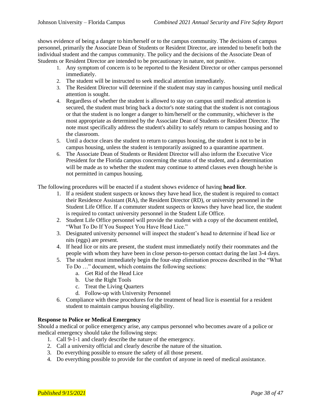shows evidence of being a danger to him/herself or to the campus community. The decisions of campus personnel, primarily the Associate Dean of Students or Resident Director, are intended to benefit both the individual student and the campus community. The policy and the decisions of the Associate Dean of Students or Resident Director are intended to be precautionary in nature, not punitive.

- 1. Any symptom of concern is to be reported to the Resident Director or other campus personnel immediately.
- 2. The student will be instructed to seek medical attention immediately.
- 3. The Resident Director will determine if the student may stay in campus housing until medical attention is sought.
- 4. Regardless of whether the student is allowed to stay on campus until medical attention is secured, the student must bring back a doctor's note stating that the student is not contagious or that the student is no longer a danger to him/herself or the community, whichever is the most appropriate as determined by the Associate Dean of Students or Resident Director. The note must specifically address the student's ability to safely return to campus housing and to the classroom.
- 5. Until a doctor clears the student to return to campus housing, the student is not to be in campus housing, unless the student is temporarily assigned to a quarantine apartment.
- 6. The Associate Dean of Students or Resident Director will also inform the Executive Vice President for the Florida campus concerning the status of the student, and a determination will be made as to whether the student may continue to attend classes even though he/she is not permitted in campus housing.

The following procedures will be enacted if a student shows evidence of having **head lice**.

- 1. If a resident student suspects or knows they have head lice, the student is required to contact their Residence Assistant (RA), the Resident Director (RD), or university personnel in the Student Life Office. If a commuter student suspects or knows they have head lice, the student is required to contact university personnel in the Student Life Office.
- 2. Student Life Office personnel will provide the student with a copy of the document entitled, "What To Do If You Suspect You Have Head Lice."
- 3. Designated university personnel will inspect the student's head to determine if head lice or nits (eggs) are present.
- 4. If head lice or nits are present, the student must immediately notify their roommates and the people with whom they have been in close person-to-person contact during the last 3-4 days.
- 5. The student must immediately begin the four-step elimination process described in the "What To Do …" document, which contains the following sections:
	- a. Get Rid of the Head Lice
	- b. Use the Right Tools
	- c. Treat the Living Quarters
	- d. Follow-up with University Personnel
- 6. Compliance with these procedures for the treatment of head lice is essential for a resident student to maintain campus housing eligibility.

#### **Response to Police or Medical Emergency**

Should a medical or police emergency arise, any campus personnel who becomes aware of a police or medical emergency should take the following steps:

- 1. Call 9-1-1 and clearly describe the nature of the emergency.
- 2. Call a university official and clearly describe the nature of the situation.
- 3. Do everything possible to ensure the safety of all those present.
- 4. Do everything possible to provide for the comfort of anyone in need of medical assistance.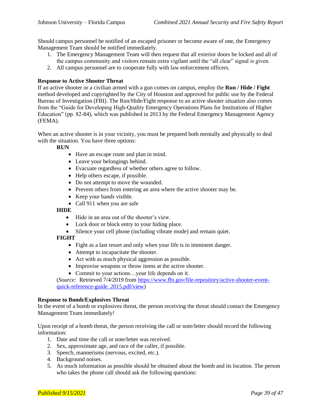Should campus personnel be notified of an escaped prisoner or become aware of one, the Emergency Management Team should be notified immediately.

- 1. The Emergency Management Team will then request that all exterior doors be locked and all of the campus community and visitors remain extra vigilant until the "all clear" signal is given.
- 2. All campus personnel are to cooperate fully with law enforcement officers.

#### **Response to Active Shooter Threat**

If an active shooter or a civilian armed with a gun comes on campus, employ the **Run / Hide / Fight** method developed and copyrighted by the City of Houston and approved for public use by the Federal Bureau of Investigation (FBI). The Run/Hide/Fight response to an active shooter situation also comes from the "Guide for Developing High-Quality Emergency Operations Plans for Institutions of Higher Education" (pp. 82-84), which was published in 2013 by the Federal Emergency Management Agency (FEMA).

When an active shooter is in your vicinity, you must be prepared both mentally and physically to deal with the situation. You have three options:

**RUN**

- Have an escape route and plan in mind.
- Leave your belongings behind.
- Evacuate regardless of whether others agree to follow.
- Help others escape, if possible.
- Do not attempt to move the wounded.
- Prevent others from entering an area where the active shooter may be.
- Keep your hands visible.
- Call 911 when you are safe

**HIDE**

- Hide in an area out of the shooter's view.
- Lock door or block entry to your hiding place.
- Silence your cell phone (including vibrate mode) and remain quiet.

#### **FIGHT**

- Fight as a last resort and only when your life is in imminent danger.
- Attempt to incapacitate the shooter.
- Act with as much physical aggression as possible.
- Improvise weapons or throw items at the active shooter.
- Commit to your actions...your life depends on it.

(*Source:* Retrieved 7/4/2019 from [https://www.fbi.gov/file-repository/active-shooter-event](https://www.fbi.gov/file-repository/active-shooter-event-quick-reference-guide_2015.pdf/view)[quick-reference-guide\\_2015.pdf/view\)](https://www.fbi.gov/file-repository/active-shooter-event-quick-reference-guide_2015.pdf/view)

#### **Response to Bomb/Explosives Threat**

In the event of a bomb or explosives threat, the person receiving the threat should contact the Emergency Management Team immediately!

Upon receipt of a bomb threat, the person receiving the call or note/letter should record the following information:

- 1. Date and time the call or note/letter was received.
- 2. Sex, approximate age, and race of the caller, if possible.
- 3. Speech, mannerisms (nervous, excited, etc.).
- 4. Background noises.
- 5. As much information as possible should be obtained about the bomb and its location. The person who takes the phone call should ask the following questions: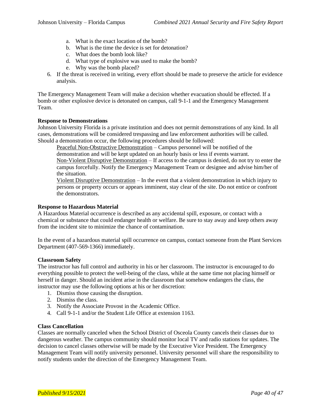- a. What is the exact location of the bomb?
- b. What is the time the device is set for detonation?
- c. What does the bomb look like?
- d. What type of explosive was used to make the bomb?
- e. Why was the bomb placed?
- 6. If the threat is received in writing, every effort should be made to preserve the article for evidence analysis.

The Emergency Management Team will make a decision whether evacuation should be effected. If a bomb or other explosive device is detonated on campus, call 9-1-1 and the Emergency Management Team.

#### **Response to Demonstrations**

Johnson University Florida is a private institution and does not permit demonstrations of any kind. In all cases, demonstrations will be considered trespassing and law enforcement authorities will be called. Should a demonstration occur, the following procedures should be followed:

Peaceful Non-Obstructive Demonstration – Campus personnel will be notified of the demonstration and will be kept updated on an hourly basis or less if events warrant. Non-Violent Disruptive Demonstration – If access to the campus is denied, do not try to enter the campus forcefully. Notify the Emergency Management Team or designee and advise him/her of the situation.

Violent Disruptive Demonstration – In the event that a violent demonstration in which injury to persons or property occurs or appears imminent, stay clear of the site. Do not entice or confront the demonstrators.

#### **Response to Hazardous Material**

A Hazardous Material occurrence is described as any accidental spill, exposure, or contact with a chemical or substance that could endanger health or welfare. Be sure to stay away and keep others away from the incident site to minimize the chance of contamination.

In the event of a hazardous material spill occurrence on campus, contact someone from the Plant Services Department (407-569-1366) immediately.

#### **Classroom Safety**

The instructor has full control and authority in his or her classroom. The instructor is encouraged to do everything possible to protect the well-being of the class, while at the same time not placing himself or herself in danger. Should an incident arise in the classroom that somehow endangers the class, the instructor may use the following options at his or her discretion:

- 1. Dismiss those causing the disruption.
- 2. Dismiss the class.
- 3. Notify the Associate Provost in the Academic Office.
- 4. Call 9-1-1 and/or the Student Life Office at extension 1163.

#### **Class Cancellation**

Classes are normally canceled when the School District of Osceola County cancels their classes due to dangerous weather. The campus community should monitor local TV and radio stations for updates. The decision to cancel classes otherwise will be made by the Executive Vice President. The Emergency Management Team will notify university personnel. University personnel will share the responsibility to notify students under the direction of the Emergency Management Team.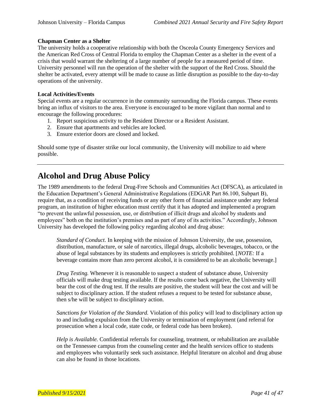#### **Chapman Center as a Shelter**

The university holds a cooperative relationship with both the Osceola County Emergency Services and the American Red Cross of Central Florida to employ the Chapman Center as a shelter in the event of a crisis that would warrant the sheltering of a large number of people for a measured period of time. University personnel will run the operation of the shelter with the support of the Red Cross. Should the shelter be activated, every attempt will be made to cause as little disruption as possible to the day-to-day operations of the university.

#### **Local Activities/Events**

Special events are a regular occurrence in the community surrounding the Florida campus. These events bring an influx of visitors to the area. Everyone is encouraged to be more vigilant than normal and to encourage the following procedures:

- 1. Report suspicious activity to the Resident Director or a Resident Assistant.
- 2. Ensure that apartments and vehicles are locked.
- 3. Ensure exterior doors are closed and locked.

Should some type of disaster strike our local community, the University will mobilize to aid where possible.

### **Alcohol and Drug Abuse Policy**

The 1989 amendments to the federal Drug-Free Schools and Communities Act (DFSCA), as articulated in the Education Department's General Administrative Regulations (EDGAR Part 86.100, Subpart B), require that, as a condition of receiving funds or any other form of financial assistance under any federal program, an institution of higher education must certify that it has adopted and implemented a program "to prevent the unlawful possession, use, or distribution of illicit drugs and alcohol by students and employees" both on the institution's premises and as part of any of its activities." Accordingly, Johnson University has developed the following policy regarding alcohol and drug abuse:

*Standard of Conduct.* In keeping with the mission of Johnson University, the use, possession, distribution, manufacture, or sale of narcotics, illegal drugs, alcoholic beverages, tobacco, or the abuse of legal substances by its students and employees is strictly prohibited. [*NOTE:* If a beverage contains more than zero percent alcohol, it is considered to be an alcoholic beverage.]

*Drug Testing.* Whenever it is reasonable to suspect a student of substance abuse, University officials will make drug testing available. If the results come back negative, the University will bear the cost of the drug test. If the results are positive, the student will bear the cost and will be subject to disciplinary action. If the student refuses a request to be tested for substance abuse, then s/he will be subject to disciplinary action.

*Sanctions for Violation of the Standard.* Violation of this policy will lead to disciplinary action up to and including expulsion from the University or termination of employment (and referral for prosecution when a local code, state code, or federal code has been broken).

*Help is Available.* Confidential referrals for counseling, treatment, or rehabilitation are available on the Tennessee campus from the counseling center and the health services office to students and employees who voluntarily seek such assistance. Helpful literature on alcohol and drug abuse can also be found in those locations.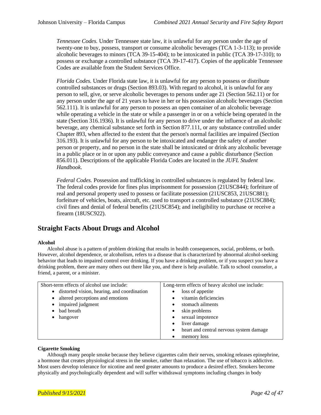*Tennessee Codes.* Under Tennessee state law, it is unlawful for any person under the age of twenty-one to buy, possess, transport or consume alcoholic beverages (TCA 1-3-113); to provide alcoholic beverages to minors (TCA 39-15-404); to be intoxicated in public (TCA 39-17-310); to possess or exchange a controlled substance (TCA 39-17-417). Copies of the applicable Tennessee Codes are available from the Student Services Office.

*Florida Codes.* Under Florida state law, it is unlawful for any person to possess or distribute controlled substances or drugs (Section 893.03). With regard to alcohol, it is unlawful for any person to sell, give, or serve alcoholic beverages to persons under age 21 (Section 562.11) or for any person under the age of 21 years to have in her or his possession alcoholic beverages (Section 562.111). It is unlawful for any person to possess an open container of an alcoholic beverage while operating a vehicle in the state or while a passenger in or on a vehicle being operated in the state (Section 316.1936). It is unlawful for any person to drive under the influence of an alcoholic beverage, any chemical substance set forth in Section 877.111, or any substance controlled under Chapter 893, when affected to the extent that the person's normal facilities are impaired (Section 316.193). It is unlawful for any person to be intoxicated and endanger the safety of another person or property, and no person in the state shall be intoxicated or drink any alcoholic beverage in a public place or in or upon any public conveyance and cause a public disturbance (Section 856.011). Descriptions of the applicable Florida Codes are located in the *JUFL Student Handbook*.

*Federal Codes.* Possession and trafficking in controlled substances is regulated by federal law. The federal codes provide for fines plus imprisonment for possession (21USC844); forfeiture of real and personal property used to possess or facilitate possession (21USC853, 21USC881); forfeiture of vehicles, boats, aircraft, etc. used to transport a controlled substance (21USC884); civil fines and denial of federal benefits (21USC854); and ineligibility to purchase or receive a firearm (18USC922).

#### **Straight Facts About Drugs and Alcohol**

#### **Alcohol**

Alcohol abuse is a pattern of problem drinking that results in health consequences, social, problems, or both. However, alcohol dependence, or alcoholism, refers to a disease that is characterized by abnormal alcohol-seeking behavior that leads to impaired control over drinking. If you have a drinking problem, or if you suspect you have a drinking problem, there are many others out there like you, and there is help available. Talk to school counselor, a friend, a parent, or a minister.

| Short-term effects of alcohol use include:    | Long-term effects of heavy alcohol use include:      |
|-----------------------------------------------|------------------------------------------------------|
| • distorted vision, hearing, and coordination | loss of appetite<br>$\bullet$                        |
| • altered perceptions and emotions            | vitamin deficiencies                                 |
| • impaired judgment                           | stomach ailments<br>$\bullet$                        |
| • bad breath                                  | skin problems<br>$\bullet$                           |
| hangover<br>$\bullet$                         | sexual impotence<br>$\bullet$                        |
|                                               | liver damage<br>$\bullet$                            |
|                                               | heart and central nervous system damage<br>$\bullet$ |
|                                               | memory loss                                          |

#### **Cigarette Smoking**

Although many people smoke because they believe cigarettes calm their nerves, smoking releases epinephrine, a hormone that creates physiological stress in the smoker, rather than relaxation. The use of tobacco is addictive. Most users develop tolerance for nicotine and need greater amounts to produce a desired effect. Smokers become physically and psychologically dependent and will suffer withdrawal symptoms including changes in body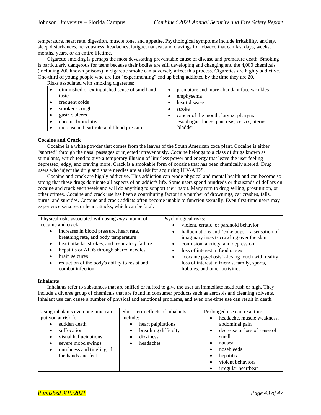temperature, heart rate, digestion, muscle tone, and appetite. Psychological symptoms include irritability, anxiety, sleep disturbances, nervousness, headaches, fatigue, nausea, and cravings for tobacco that can last days, weeks, months, years, or an entire lifetime.

Cigarette smoking is perhaps the most devastating preventable cause of disease and premature death. Smoking is particularly dangerous for teens because their bodies are still developing and changing and the 4,000 chemicals (including 200 known poisons) in cigarette smoke can adversely affect this process. Cigarettes are highly addictive. One-third of young people who are just "experimenting" end up being addicted by the time they are 20.

Risks associated with smoking cigarettes:

| THERE WOOD VINIVE WITH SHIPSHING VIRGING COUPS. |                                             |
|-------------------------------------------------|---------------------------------------------|
| diminished or extinguished sense of smell and   | premature and more abundant face wrinkles   |
| taste                                           | emphysema                                   |
| frequent colds                                  | heart disease                               |
| smoker's cough                                  | stroke                                      |
| gastric ulcers                                  | cancer of the mouth, larynx, pharynx,       |
| chronic bronchitis                              | esophagus, lungs, pancreas, cervix, uterus, |
| increase in heart rate and blood pressure       | bladder                                     |

#### **Cocaine and Crack**

Cocaine is a white powder that comes from the leaves of the South American coca plant. Cocaine is either "snorted" through the nasal passages or injected intravenously. Cocaine belongs to a class of drugs known as stimulants, which tend to give a temporary illusion of limitless power and energy that leave the user feeling depressed, edgy, and craving more. Crack is a smokable form of cocaine that has been chemically altered. Drug users who inject the drug and share needles are at risk for acquiring HIV/AIDS.

Cocaine and crack are highly addictive. This addiction can erode physical and mental health and can become so strong that these drugs dominate all aspects of an addict's life. Some users spend hundreds or thousands of dollars on cocaine and crack each week and will do anything to support their habit. Many turn to drug selling, prostitution, or other crimes. Cocaine and crack use has been a contributing factor in a number of drownings, car crashes, falls, burns, and suicides. Cocaine and crack addicts often become unable to function sexually. Even first-time users may experience seizures or heart attacks, which can be fatal.

| Physical risks associated with using <i>any</i> amount of    | Psychological risks:                            |
|--------------------------------------------------------------|-------------------------------------------------|
| cocaine and crack:                                           | violent, erratic, or paranoid behavior          |
| increases in blood pressure, heart rate,<br>$\bullet$        | hallucinations and "coke bugs"--a sensation of  |
| breathing rate, and body temperature                         | imaginary insects crawling over the skin        |
| heart attacks, strokes, and respiratory failure<br>$\bullet$ | confusion, anxiety, and depression              |
| hepatitis or AIDS through shared needles                     | loss of interest in food or sex                 |
| brain seizures                                               | "cocaine psychosis"--losing touch with reality, |
| reduction of the body's ability to resist and<br>$\bullet$   | loss of interest in friends, family, sports,    |
| combat infection                                             | hobbies, and other activities                   |

#### **Inhalants**

Inhalants refer to substances that are sniffed or huffed to give the user an immediate head rush or high. They include a diverse group of chemicals that are found in consumer products such as aerosols and cleaning solvents. Inhalant use can cause a number of physical and emotional problems, and even one-time use can result in death.

| Using inhalants even one time can     | Short-term effects of inhalants | Prolonged use can result in:              |
|---------------------------------------|---------------------------------|-------------------------------------------|
| put you at risk for:                  | include:                        | headache, muscle weakness,                |
| sudden death<br>$\bullet$             | heart palpitations<br>٠         | abdominal pain                            |
| suffocation<br>$\bullet$              | breathing difficulty<br>٠       | decrease or loss of sense of<br>$\bullet$ |
| visual hallucinations                 | dizziness                       | smell                                     |
| severe mood swings<br>$\bullet$       | headaches<br>$\bullet$          | nausea<br>$\bullet$                       |
| numbness and tingling of<br>$\bullet$ |                                 | nosebleeds<br>$\bullet$                   |
| the hands and feet                    |                                 | hepatitis<br>٠                            |
|                                       |                                 | violent behaviors                         |
|                                       |                                 | irregular heartbeat                       |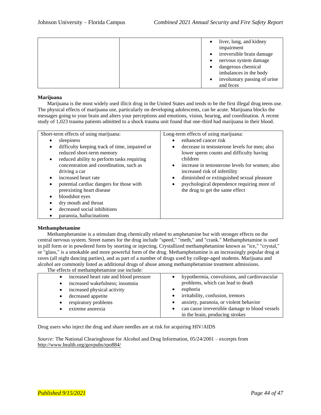|  | liver, lung, and kidney      |
|--|------------------------------|
|  | impairment                   |
|  | irreversible brain damage    |
|  | nervous system damage        |
|  | dangerous chemical           |
|  | imbalances in the body       |
|  | involuntary passing of urine |
|  | and feces                    |

#### **Marijuana**

Marijuana is the most widely used illicit drug in the United States and tends to be the first illegal drug teens use. The physical effects of marijuana use, particularly on developing adolescents, can be acute. Marijuana blocks the messages going to your brain and alters your perceptions and emotions, vision, hearing, and coordination. A recent study of 1,023 trauma patients admitted to a shock trauma unit found that one-third had marijuana in their blood.

| Short-term effects of using marijuana:<br>sleepiness<br>difficulty keeping track of time, impaired or<br>٠<br>reduced short-term memory<br>reduced ability to perform tasks requiring<br>$\bullet$<br>concentration and coordination, such as<br>driving a car<br>increased heart rate<br>potential cardiac dangers for those with<br>٠<br>preexisting heart disease<br>٠ | Long-term effects of using marijuana:<br>enhanced cancer risk<br>decrease in testosterone levels for men; also<br>٠<br>lower sperm counts and difficulty having<br>children<br>increase in testosterone levels for women; also<br>increased risk of infertility<br>diminished or extinguished sexual pleasure<br>psychological dependence requiring more of<br>$\bullet$<br>the drug to get the same effect |
|---------------------------------------------------------------------------------------------------------------------------------------------------------------------------------------------------------------------------------------------------------------------------------------------------------------------------------------------------------------------------|-------------------------------------------------------------------------------------------------------------------------------------------------------------------------------------------------------------------------------------------------------------------------------------------------------------------------------------------------------------------------------------------------------------|
|                                                                                                                                                                                                                                                                                                                                                                           |                                                                                                                                                                                                                                                                                                                                                                                                             |
| bloodshot eyes                                                                                                                                                                                                                                                                                                                                                            |                                                                                                                                                                                                                                                                                                                                                                                                             |
| dry mouth and throat                                                                                                                                                                                                                                                                                                                                                      |                                                                                                                                                                                                                                                                                                                                                                                                             |
| decreased social inhibitions                                                                                                                                                                                                                                                                                                                                              |                                                                                                                                                                                                                                                                                                                                                                                                             |
| paranoia, hallucinations                                                                                                                                                                                                                                                                                                                                                  |                                                                                                                                                                                                                                                                                                                                                                                                             |

#### **Methamphetamine**

Methamphetamine is a stimulant drug chemically related to amphetamine but with stronger effects on the central nervous system. Street names for the drug include "speed," "meth," and "crank." Methamphetamine is used in pill form or in powdered form by snorting or injecting. Crystallized methamphetamine known as "ice," "crystal," or "glass," is a smokable and more powerful form of the drug. Methamphetamine is an increasingly popular drug at raves (all night dancing parties), and as part of a number of drugs used by college-aged students. Marijuana and alcohol are commonly listed as additional drugs of abuse among methamphetamine treatment admissions.

The effects of methamphetamine use include:

| increased heart rate and blood pressure<br>$\bullet$ | hypothermia, convulsions, and cardiovascular                |
|------------------------------------------------------|-------------------------------------------------------------|
| increased wakefulness; insomnia<br>$\bullet$         | problems, which can lead to death                           |
| increased physical activity<br>٠                     | euphoria<br>٠                                               |
| decreased appetite<br>٠                              | • irritability, confusion, tremors                          |
| respiratory problems<br>$\bullet$                    | anxiety, paranoia, or violent behavior                      |
| extreme anorexia                                     | can cause irreversible damage to blood vessels<br>$\bullet$ |
|                                                      | in the brain, producing strokes                             |

Drug users who inject the drug and share needles are at risk for acquiring HIV/AIDS

*Source:* The National Clearinghouse for Alcohol and Drug Information, 05/24/2001 – excerpts from <http://www.health.org/govpubs/rpo884/>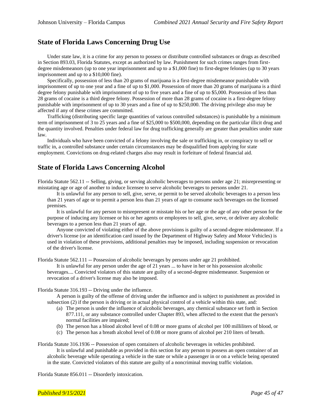#### **State of Florida Laws Concerning Drug Use**

Under state law, it is a crime for any person to possess or distribute controlled substances or drugs as described in Section 893.03, Florida Statutes, except as authorized by law. Punishment for such crimes ranges from firstdegree misdemeanors (up to one year imprisonment and up to a \$1,000 fine) to first-degree felonies (up to 30 years imprisonment and up to a \$10,000 fine).

Specifically, possession of less than 20 grams of marijuana is a first-degree misdemeanor punishable with imprisonment of up to one year and a fine of up to \$1,000. Possession of more than 20 grams of marijuana is a third degree felony punishable with imprisonment of up to five years and a fine of up to \$5,000. Possession of less than 28 grams of cocaine is a third degree felony. Possession of more than 28 grams of cocaine is a first-degree felony punishable with imprisonment of up to 30 years and a fine of up to \$250,000. The driving privilege also may be affected if any of these crimes are committed.

Trafficking (distributing specific large quantities of various controlled substances) is punishable by a minimum term of imprisonment of 3 to 25 years and a fine of \$25,000 to \$500,000, depending on the particular illicit drug and the quantity involved. Penalties under federal law for drug trafficking generally are greater than penalties under state law.

Individuals who have been convicted of a felony involving the sale or trafficking in, or conspiracy to sell or traffic in, a controlled substance under certain circumstances may be disqualified from applying for state employment. Convictions on drug-related charges also may result in forfeiture of federal financial aid.

#### **State of Florida Laws Concerning Alcohol**

Florida Statute 562.11 -- Selling, giving, or serving alcoholic beverages to persons under age 21; misrepresenting or misstating age or age of another to induce licensee to serve alcoholic beverages to persons under 21.

It is unlawful for any person to sell, give, serve, or permit to be served alcoholic beverages to a person less than 21 years of age or to permit a person less than 21 years of age to consume such beverages on the licensed premises.

It is unlawful for any person to misrepresent or misstate his or her age or the age of any other person for the purpose of inducing any licensee or his or her agents or employees to sell, give, serve, or deliver any alcoholic beverages to a person less than 21 years of age.

Anyone convicted of violating either of the above provisions is guilty of a second-degree misdemeanor. If a driver's license (or an identification card issued by the Department of Highway Safety and Motor Vehicles) is used in violation of these provisions, additional penalties may be imposed, including suspension or revocation of the driver's license.

Florida Statute 562.111 -- Possession of alcoholic beverages by persons under age 21 prohibited.

It is unlawful for any person under the age of 21 years ... to have in her or his possession alcoholic beverages.... Convicted violators of this statute are guilty of a second-degree misdemeanor. Suspension or revocation of a driver's license may also be imposed.

#### Florida Statute 316.193 -- Driving under the influence.

A person is guilty of the offense of driving under the influence and is subject to punishment as provided in subsection (2) if the person is driving or in actual physical control of a vehicle within this state, and:

- (a) The person is under the influence of alcoholic beverages, any chemical substance set forth in Section 877.111, or any substance controlled under Chapter 893, when affected to the extent that the person's normal facilities are impaired;
- (b) The person has a blood alcohol level of 0.08 or more grams of alcohol per 100 milliliters of blood, or
- (c) The person has a breath alcohol level of 0.08 or more grams of alcohol per 210 liters of breath.
- Florida Statute 316.1936 -- Possession of open containers of alcoholic beverages in vehicles prohibited. It is unlawful and punishable as provided in this section for any person to possess an open container of an alcoholic beverage while operating a vehicle in the state or while a passenger in or on a vehicle being operated in the state. Convicted violators of this statute are guilty of a noncriminal moving traffic violation.

Florida Statute 856.011 -- Disorderly intoxication.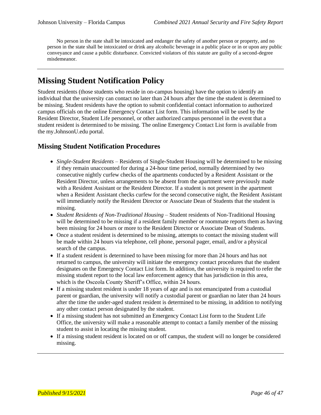No person in the state shall be intoxicated and endanger the safety of another person or property, and no person in the state shall be intoxicated or drink any alcoholic beverage in a public place or in or upon any public conveyance and cause a public disturbance. Convicted violators of this statute are guilty of a second-degree misdemeanor.

### **Missing Student Notification Policy**

Student residents (those students who reside in on-campus housing) have the option to identify an individual that the university can contact no later than 24 hours after the time the student is determined to be missing. Student residents have the option to submit confidential contact information to authorized campus officials on the online Emergency Contact List form. This information will be used by the Resident Director, Student Life personnel, or other authorized campus personnel in the event that a student resident is determined to be missing. The online Emergency Contact List form is available from the my.JohnsonU.edu portal.

#### **Missing Student Notification Procedures**

- *Single-Student Residents* Residents of Single-Student Housing will be determined to be missing if they remain unaccounted for during a 24-hour time period, normally determined by two consecutive nightly curfew checks of the apartments conducted by a Resident Assistant or the Resident Director, unless arrangements to be absent from the apartment were previously made with a Resident Assistant or the Resident Director. If a student is not present in the apartment when a Resident Assistant checks curfew for the second consecutive night, the Resident Assistant will immediately notify the Resident Director or Associate Dean of Students that the student is missing.
- *Student Residents of Non-Traditional Housing*  Student residents of Non-Traditional Housing will be determined to be missing if a resident family member or roommate reports them as having been missing for 24 hours or more to the Resident Director or Associate Dean of Students.
- Once a student resident is determined to be missing, attempts to contact the missing student will be made within 24 hours via telephone, cell phone, personal pager, email, and/or a physical search of the campus.
- If a student resident is determined to have been missing for more than 24 hours and has not returned to campus, the university will initiate the emergency contact procedures that the student designates on the Emergency Contact List form. In addition, the university is required to refer the missing student report to the local law enforcement agency that has jurisdiction in this area, which is the Osceola County Sheriff's Office, within 24 hours.
- If a missing student resident is under 18 years of age and is not emancipated from a custodial parent or guardian, the university will notify a custodial parent or guardian no later than 24 hours after the time the under-aged student resident is determined to be missing, in addition to notifying any other contact person designated by the student.
- If a missing student has not submitted an Emergency Contact List form to the Student Life Office, the university will make a reasonable attempt to contact a family member of the missing student to assist in locating the missing student.
- If a missing student resident is located on or off campus, the student will no longer be considered missing.